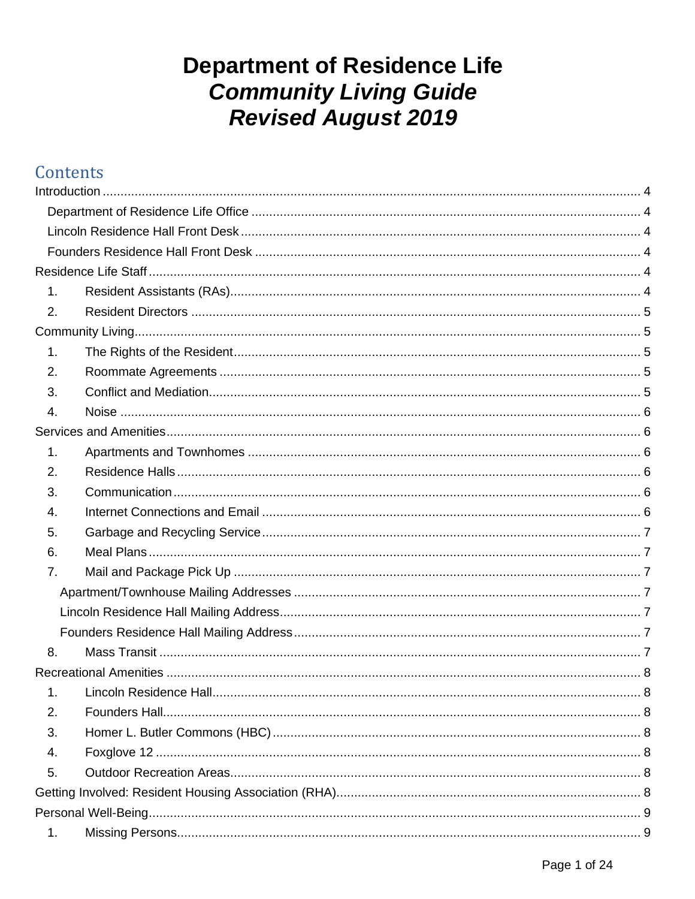# **Department of Residence Life Community Living Guide Revised August 2019**

## Contents

| 1. |  |  |  |
|----|--|--|--|
| 2. |  |  |  |
|    |  |  |  |
| 1. |  |  |  |
| 2. |  |  |  |
| 3. |  |  |  |
| 4. |  |  |  |
|    |  |  |  |
| 1. |  |  |  |
| 2. |  |  |  |
| 3. |  |  |  |
| 4. |  |  |  |
| 5. |  |  |  |
| 6. |  |  |  |
| 7. |  |  |  |
|    |  |  |  |
|    |  |  |  |
|    |  |  |  |
| 8. |  |  |  |
|    |  |  |  |
|    |  |  |  |
| 2. |  |  |  |
| 3. |  |  |  |
| 4. |  |  |  |
| 5. |  |  |  |
|    |  |  |  |
|    |  |  |  |
| 1. |  |  |  |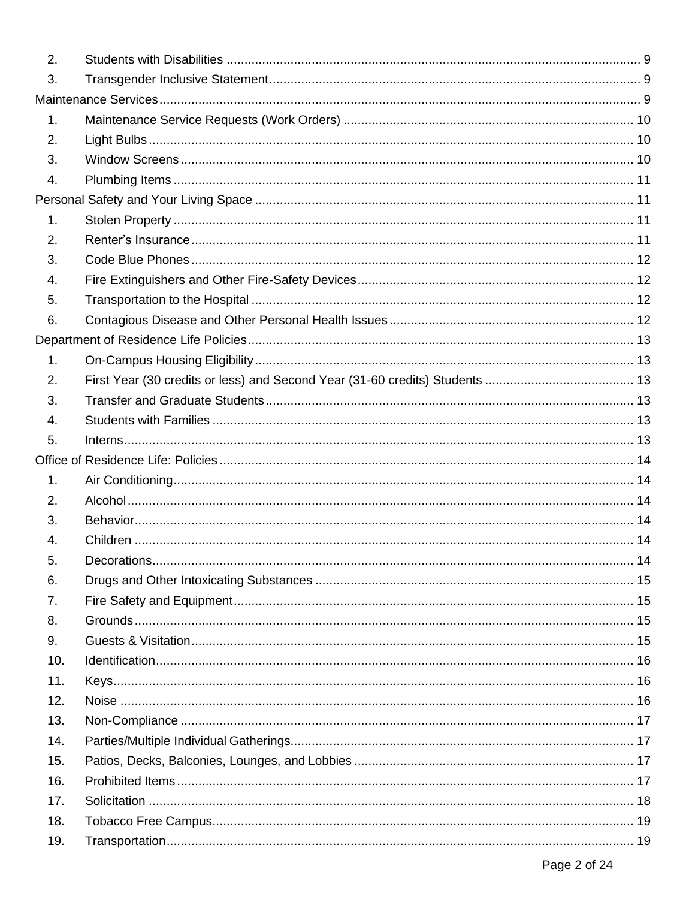| 2.  |  |
|-----|--|
| 3.  |  |
|     |  |
| 1.  |  |
| 2.  |  |
| 3.  |  |
| 4.  |  |
|     |  |
| 1.  |  |
| 2.  |  |
| 3.  |  |
| 4.  |  |
| 5.  |  |
| 6.  |  |
|     |  |
| 1.  |  |
| 2.  |  |
| 3.  |  |
| 4.  |  |
| 5.  |  |
|     |  |
| 1.  |  |
| 2.  |  |
| 3.  |  |
| 4.  |  |
| 5.  |  |
| 6.  |  |
| 7.  |  |
| 8.  |  |
| 9.  |  |
| 10. |  |
| 11. |  |
| 12. |  |
| 13. |  |
| 14. |  |
| 15. |  |
| 16. |  |
| 17. |  |
| 18. |  |
| 19. |  |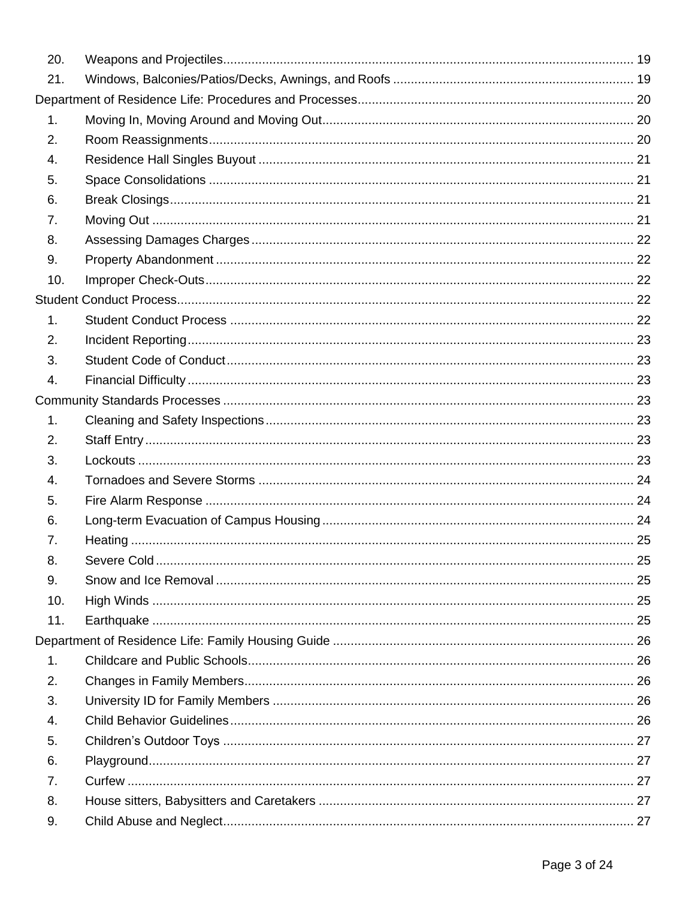| 20.            |  |  |
|----------------|--|--|
| 21.            |  |  |
|                |  |  |
| 1.             |  |  |
| 2.             |  |  |
| 4.             |  |  |
| 5.             |  |  |
| 6.             |  |  |
| 7.             |  |  |
| 8.             |  |  |
| 9.             |  |  |
| 10.            |  |  |
|                |  |  |
| 1 <sub>1</sub> |  |  |
| 2.             |  |  |
| 3.             |  |  |
| 4.             |  |  |
|                |  |  |
| 1.             |  |  |
| 2.             |  |  |
| 3.             |  |  |
| 4.             |  |  |
| 5.             |  |  |
| 6.             |  |  |
| 7.             |  |  |
| 8.             |  |  |
| 9.             |  |  |
| 10.            |  |  |
| 11.            |  |  |
|                |  |  |
| 1.             |  |  |
| 2.             |  |  |
| 3.             |  |  |
| 4.             |  |  |
| 5.             |  |  |
| 6.             |  |  |
| 7.             |  |  |
| 8.             |  |  |
| 9.             |  |  |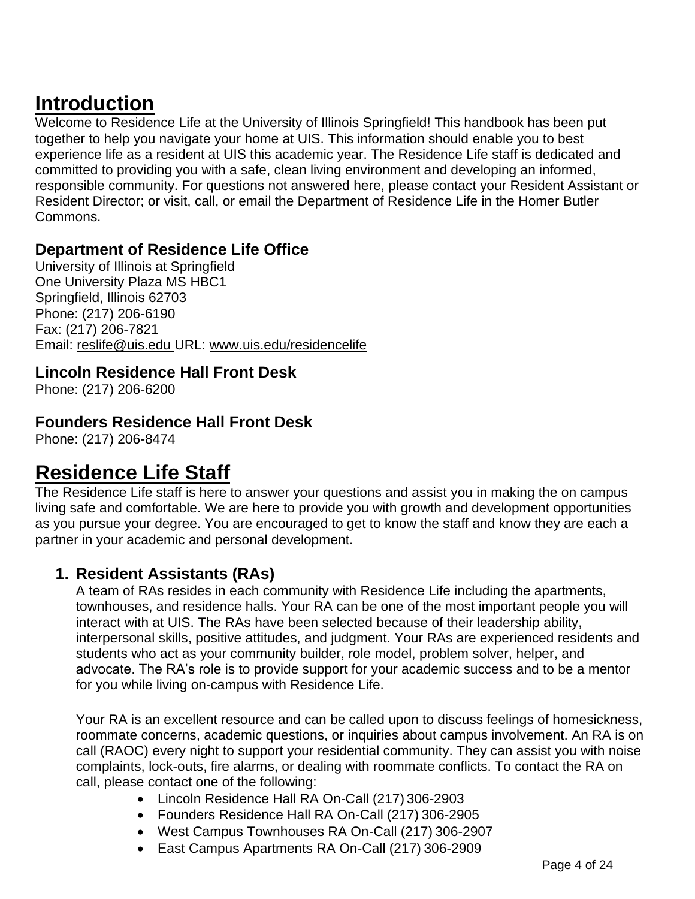# <span id="page-3-0"></span>**Introduction**

Welcome to Residence Life at the University of Illinois Springfield! This handbook has been put together to help you navigate your home at UIS. This information should enable you to best experience life as a resident at UIS this academic year. The Residence Life staff is dedicated and committed to providing you with a safe, clean living environment and developing an informed, responsible community. For questions not answered here, please contact your Resident Assistant or Resident Director; or visit, call, or email the Department of Residence Life in the Homer Butler Commons.

## <span id="page-3-1"></span>**Department of Residence Life Office**

University of Illinois at Springfield One University Plaza MS HBC1 Springfield, Illinois 62703 Phone: (217) 206-6190 Fax: (217) 206-7821 Email: [reslife@uis.edu](mailto:reslife@uis.edu) URL: [www.uis.edu/residencelife](http://www.uis.edu/residencelife)

#### <span id="page-3-2"></span>**Lincoln Residence Hall Front Desk**

Phone: (217) 206-6200

## <span id="page-3-3"></span>**Founders Residence Hall Front Desk**

Phone: (217) 206-8474

## <span id="page-3-4"></span>**Residence Life Staff**

The Residence Life staff is here to answer your questions and assist you in making the on campus living safe and comfortable. We are here to provide you with growth and development opportunities as you pursue your degree. You are encouraged to get to know the staff and know they are each a partner in your academic and personal development.

#### <span id="page-3-5"></span>**1. Resident Assistants (RAs)**

A team of RAs resides in each community with Residence Life including the apartments, townhouses, and residence halls. Your RA can be one of the most important people you will interact with at UIS. The RAs have been selected because of their leadership ability, interpersonal skills, positive attitudes, and judgment. Your RAs are experienced residents and students who act as your community builder, role model, problem solver, helper, and advocate. The RA's role is to provide support for your academic success and to be a mentor for you while living on-campus with Residence Life.

Your RA is an excellent resource and can be called upon to discuss feelings of homesickness, roommate concerns, academic questions, or inquiries about campus involvement. An RA is on call (RAOC) every night to support your residential community. They can assist you with noise complaints, lock-outs, fire alarms, or dealing with roommate conflicts. To contact the RA on call, please contact one of the following:

- Lincoln Residence Hall RA On-Call (217) 306-2903
- Founders Residence Hall RA On-Call (217) 306-2905
- West Campus Townhouses RA On-Call (217) 306-2907
- East Campus Apartments RA On-Call (217) 306-2909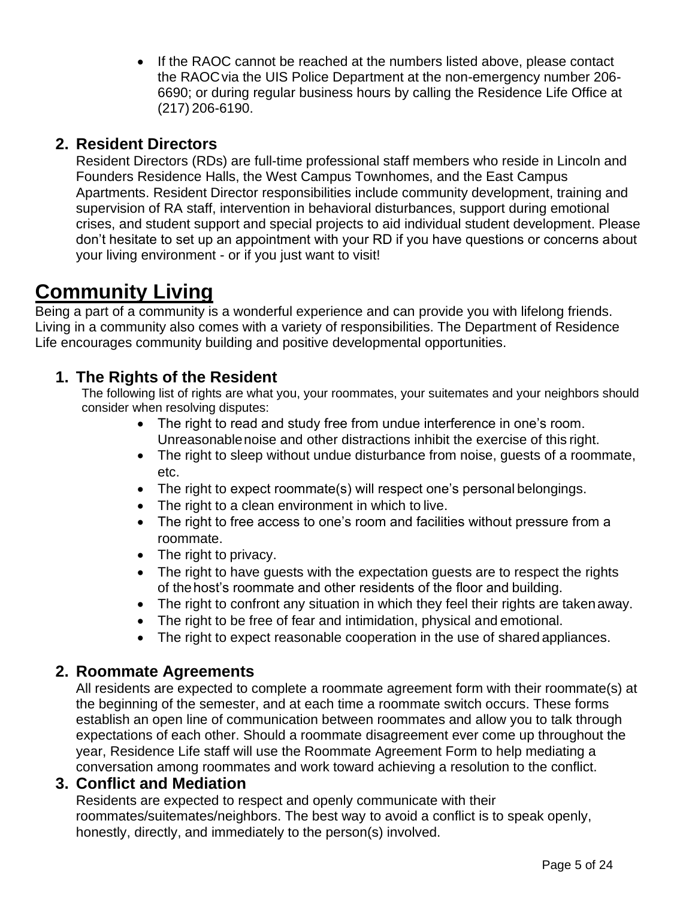• If the RAOC cannot be reached at the numbers listed above, please contact the RAOCvia the UIS Police Department at the non-emergency number 206- 6690; or during regular business hours by calling the Residence Life Office at (217) 206-6190.

## <span id="page-4-0"></span>**2. Resident Directors**

Resident Directors (RDs) are full-time professional staff members who reside in Lincoln and Founders Residence Halls, the West Campus Townhomes, and the East Campus Apartments. Resident Director responsibilities include community development, training and supervision of RA staff, intervention in behavioral disturbances, support during emotional crises, and student support and special projects to aid individual student development. Please don't hesitate to set up an appointment with your RD if you have questions or concerns about your living environment - or if you just want to visit!

# <span id="page-4-1"></span>**Community Living**

Being a part of a community is a wonderful experience and can provide you with lifelong friends. Living in a community also comes with a variety of responsibilities. The Department of Residence Life encourages community building and positive developmental opportunities.

## <span id="page-4-2"></span>**1. The Rights of the Resident**

The following list of rights are what you, your roommates, your suitemates and your neighbors should consider when resolving disputes:

- The right to read and study free from undue interference in one's room. Unreasonablenoise and other distractions inhibit the exercise of this right.
- The right to sleep without undue disturbance from noise, guests of a roommate, etc.
- The right to expect roommate(s) will respect one's personal belongings.
- The right to a clean environment in which to live.
- The right to free access to one's room and facilities without pressure from a roommate.
- The right to privacy.
- The right to have guests with the expectation guests are to respect the rights of thehost's roommate and other residents of the floor and building.
- The right to confront any situation in which they feel their rights are taken away.
- The right to be free of fear and intimidation, physical and emotional.
- The right to expect reasonable cooperation in the use of shared appliances.

#### <span id="page-4-3"></span>**2. Roommate Agreements**

All residents are expected to complete a roommate agreement form with their roommate(s) at the beginning of the semester, and at each time a roommate switch occurs. These forms establish an open line of communication between roommates and allow you to talk through expectations of each other. Should a roommate disagreement ever come up throughout the year, Residence Life staff will use the Roommate Agreement Form to help mediating a conversation among roommates and work toward achieving a resolution to the conflict.

#### <span id="page-4-4"></span>**3. Conflict and Mediation**

Residents are expected to respect and openly communicate with their roommates/suitemates/neighbors. The best way to avoid a conflict is to speak openly, honestly, directly, and immediately to the person(s) involved.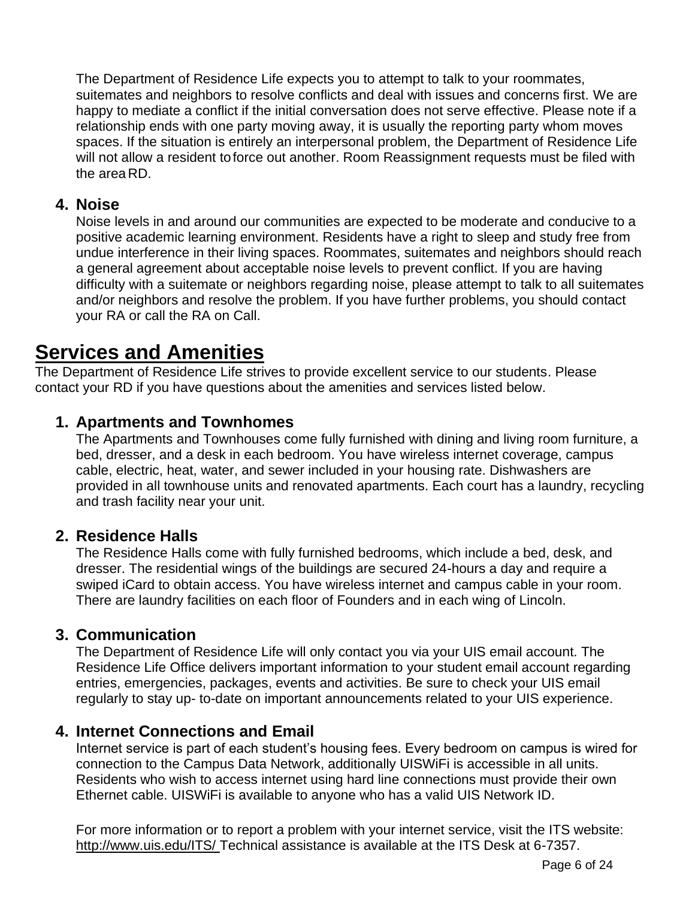The Department of Residence Life expects you to attempt to talk to your roommates, suitemates and neighbors to resolve conflicts and deal with issues and concerns first. We are happy to mediate a conflict if the initial conversation does not serve effective. Please note if a relationship ends with one party moving away, it is usually the reporting party whom moves spaces. If the situation is entirely an interpersonal problem, the Department of Residence Life will not allow a resident toforce out another. Room Reassignment requests must be filed with the area RD.

#### <span id="page-5-0"></span>**4. Noise**

Noise levels in and around our communities are expected to be moderate and conducive to a positive academic learning environment. Residents have a right to sleep and study free from undue interference in their living spaces. Roommates, suitemates and neighbors should reach a general agreement about acceptable noise levels to prevent conflict. If you are having difficulty with a suitemate or neighbors regarding noise, please attempt to talk to all suitemates and/or neighbors and resolve the problem. If you have further problems, you should contact your RA or call the RA on Call.

## <span id="page-5-1"></span>**Services and Amenities**

The Department of Residence Life strives to provide excellent service to our students. Please contact your RD if you have questions about the amenities and services listed below.

#### <span id="page-5-2"></span>**1. Apartments and Townhomes**

The Apartments and Townhouses come fully furnished with dining and living room furniture, a bed, dresser, and a desk in each bedroom. You have wireless internet coverage, campus cable, electric, heat, water, and sewer included in your housing rate. Dishwashers are provided in all townhouse units and renovated apartments. Each court has a laundry, recycling and trash facility near your unit.

#### <span id="page-5-3"></span>**2. Residence Halls**

The Residence Halls come with fully furnished bedrooms, which include a bed, desk, and dresser. The residential wings of the buildings are secured 24-hours a day and require a swiped iCard to obtain access. You have wireless internet and campus cable in your room. There are laundry facilities on each floor of Founders and in each wing of Lincoln.

#### <span id="page-5-4"></span>**3. Communication**

The Department of Residence Life will only contact you via your UIS email account. The Residence Life Office delivers important information to your student email account regarding entries, emergencies, packages, events and activities. Be sure to check your UIS email regularly to stay up- to-date on important announcements related to your UIS experience.

#### <span id="page-5-5"></span>**4. Internet Connections and Email**

Internet service is part of each student's housing fees. Every bedroom on campus is wired for connection to the Campus Data Network, additionally UISWiFi is accessible in all units. Residents who wish to access internet using hard line connections must provide their own Ethernet cable. UISWiFi is available to anyone who has a valid UIS Network ID.

For more information or to report a problem with your internet service, visit the ITS website: [http://www.uis.edu/ITS/ T](http://www.uis.edu/ITS/)echnical assistance is available at the ITS Desk at 6-7357.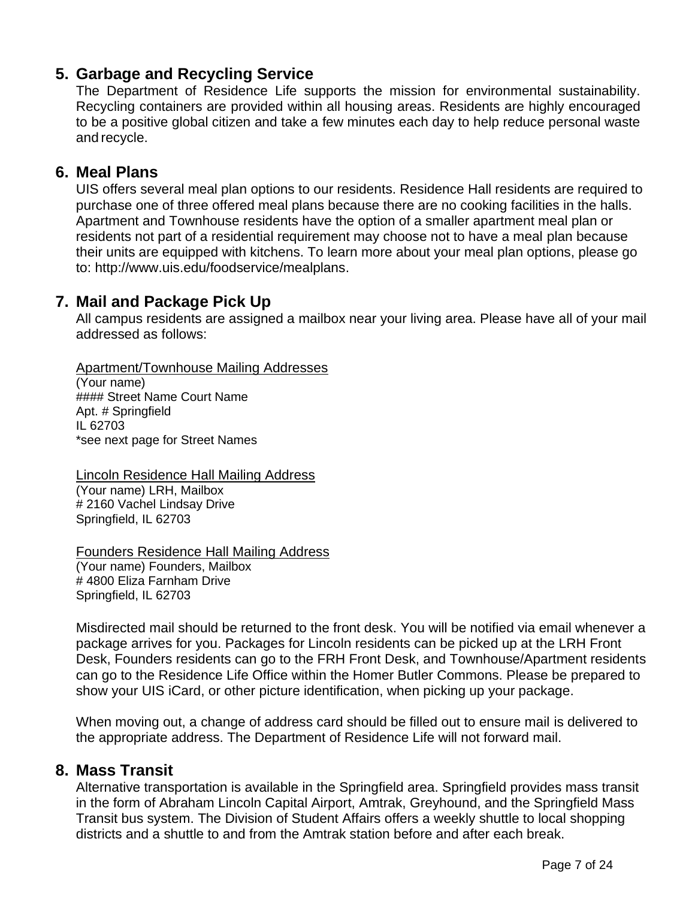## <span id="page-6-0"></span>**5. Garbage and Recycling Service**

The Department of Residence Life supports the mission for environmental sustainability. Recycling containers are provided within all housing areas. Residents are highly encouraged to be a positive global citizen and take a few minutes each day to help reduce personal waste and recycle.

#### <span id="page-6-1"></span>**6. Meal Plans**

UIS offers several meal plan options to our residents. Residence Hall residents are required to purchase one of three offered meal plans because there are no cooking facilities in the halls. Apartment and Townhouse residents have the option of a smaller apartment meal plan or residents not part of a residential requirement may choose not to have a meal plan because their units are equipped with kitchens. To learn more about your meal plan options, please go to: [http://www.uis.edu/foodservice/mealplans.](http://www.uis.edu/foodservice/mealplans)

#### <span id="page-6-2"></span>**7. Mail and Package Pick Up**

All campus residents are assigned a mailbox near your living area. Please have all of your mail addressed as follows:

<span id="page-6-3"></span>Apartment/Townhouse Mailing Addresses

(Your name) #### Street Name Court Name Apt. # Springfield IL 62703 \*see next page for Street Names

<span id="page-6-4"></span>Lincoln Residence Hall Mailing Address (Your name) LRH, Mailbox # 2160 Vachel Lindsay Drive Springfield, IL 62703

<span id="page-6-5"></span>Founders Residence Hall Mailing Address

(Your name) Founders, Mailbox # 4800 Eliza Farnham Drive Springfield, IL 62703

Misdirected mail should be returned to the front desk. You will be notified via email whenever a package arrives for you. Packages for Lincoln residents can be picked up at the LRH Front Desk, Founders residents can go to the FRH Front Desk, and Townhouse/Apartment residents can go to the Residence Life Office within the Homer Butler Commons. Please be prepared to show your UIS iCard, or other picture identification, when picking up your package.

When moving out, a change of address card should be filled out to ensure mail is delivered to the appropriate address. The Department of Residence Life will not forward mail.

#### <span id="page-6-6"></span>**8. Mass Transit**

Alternative transportation is available in the Springfield area. Springfield provides mass transit in the form of Abraham Lincoln Capital Airport, Amtrak, Greyhound, and the Springfield Mass Transit bus system. The Division of Student Affairs offers a weekly shuttle to local shopping districts and a shuttle to and from the Amtrak station before and after each break.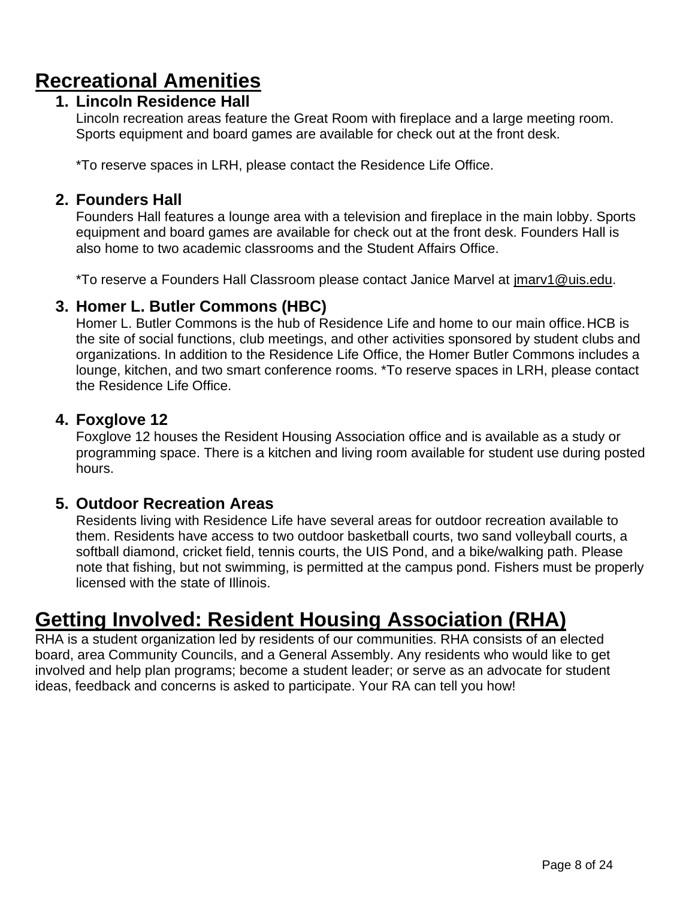# <span id="page-7-1"></span><span id="page-7-0"></span>**Recreational Amenities**

## **1. Lincoln Residence Hall**

Lincoln recreation areas feature the Great Room with fireplace and a large meeting room. Sports equipment and board games are available for check out at the front desk.

\*To reserve spaces in LRH, please contact the Residence Life Office.

### <span id="page-7-2"></span>**2. Founders Hall**

Founders Hall features a lounge area with a television and fireplace in the main lobby. Sports equipment and board games are available for check out at the front desk. Founders Hall is also home to two academic classrooms and the Student Affairs Office.

\*To reserve a Founders Hall Classroom please contact Janice Marvel at [jmarv1@uis.edu.](mailto:jmarv1@uis.edu)

#### <span id="page-7-3"></span>**3. Homer L. Butler Commons (HBC)**

Homer L. Butler Commons is the hub of Residence Life and home to our main office.HCB is the site of social functions, club meetings, and other activities sponsored by student clubs and organizations. In addition to the Residence Life Office, the Homer Butler Commons includes a lounge, kitchen, and two smart conference rooms. \*To reserve spaces in LRH, please contact the Residence Life Office.

#### <span id="page-7-4"></span>**4. Foxglove 12**

Foxglove 12 houses the Resident Housing Association office and is available as a study or programming space. There is a kitchen and living room available for student use during posted hours.

#### <span id="page-7-5"></span>**5. Outdoor Recreation Areas**

Residents living with Residence Life have several areas for outdoor recreation available to them. Residents have access to two outdoor basketball courts, two sand volleyball courts, a softball diamond, cricket field, tennis courts, the UIS Pond, and a bike/walking path. Please note that fishing, but not swimming, is permitted at the campus pond. Fishers must be properly licensed with the state of Illinois.

## <span id="page-7-6"></span>**Getting Involved: Resident Housing Association (RHA)**

RHA is a student organization led by residents of our communities. RHA consists of an elected board, area Community Councils, and a General Assembly. Any residents who would like to get involved and help plan programs; become a student leader; or serve as an advocate for student ideas, feedback and concerns is asked to participate. Your RA can tell you how!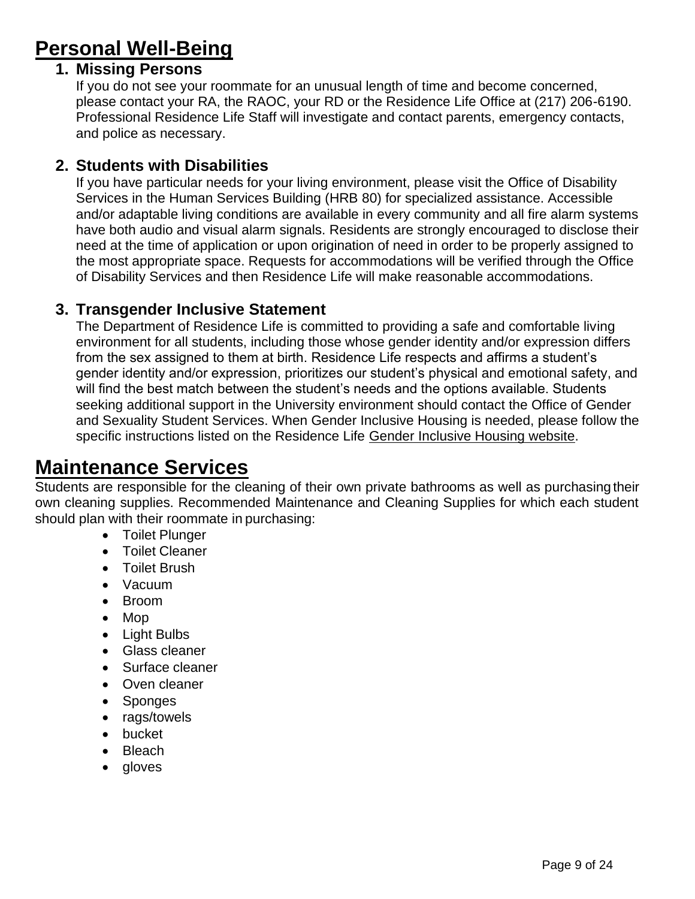# <span id="page-8-1"></span><span id="page-8-0"></span>**Personal Well-Being**

#### **1. Missing Persons**

If you do not see your roommate for an unusual length of time and become concerned, please contact your RA, the RAOC, your RD or the Residence Life Office at (217) 206-6190. Professional Residence Life Staff will investigate and contact parents, emergency contacts, and police as necessary.

#### <span id="page-8-2"></span>**2. Students with Disabilities**

If you have particular needs for your living environment, please visit the Office of Disability Services in the Human Services Building (HRB 80) for specialized assistance. Accessible and/or adaptable living conditions are available in every community and all fire alarm systems have both audio and visual alarm signals. Residents are strongly encouraged to disclose their need at the time of application or upon origination of need in order to be properly assigned to the most appropriate space. Requests for accommodations will be verified through the Office of Disability Services and then Residence Life will make reasonable accommodations.

#### <span id="page-8-3"></span>**3. Transgender Inclusive Statement**

The Department of Residence Life is committed to providing a safe and comfortable living environment for all students, including those whose gender identity and/or expression differs from the sex assigned to them at birth. Residence Life respects and affirms a student's gender identity and/or expression, prioritizes our student's physical and emotional safety, and will find the best match between the student's needs and the options available. Students seeking additional support in the University environment should contact the Office of Gender and Sexuality Student Services. When Gender Inclusive Housing is needed, please follow the specific instructions listed on the Residence Life [Gender Inclusive Housing website.](https://www.uis.edu/residencelife/livingatuis/options/gnh/)

## <span id="page-8-4"></span>**Maintenance Services**

Students are responsible for the cleaning of their own private bathrooms as well as purchasing their own cleaning supplies. Recommended Maintenance and Cleaning Supplies for which each student should plan with their roommate in purchasing:

- Toilet Plunger
- Toilet Cleaner
- Toilet Brush
- Vacuum
- Broom
- Mop
- Light Bulbs
- Glass cleaner
- Surface cleaner
- Oven cleaner
- Sponges
- rags/towels
- bucket
- Bleach
- gloves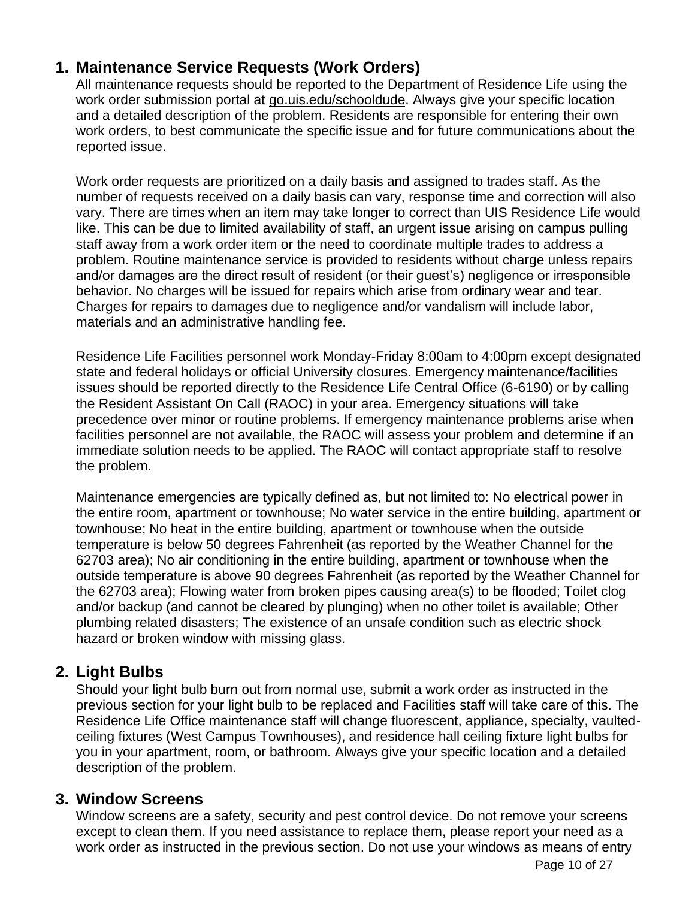## <span id="page-9-0"></span>**1. Maintenance Service Requests (Work Orders)**

All maintenance requests should be reported to the Department of Residence Life using the work order submission portal at go.uis.edu/schooldude. Always give your specific location and a detailed description of the problem. Residents are responsible for entering their own work orders, to best communicate the specific issue and for future communications about the reported issue.

Work order requests are prioritized on a daily basis and assigned to trades staff. As the number of requests received on a daily basis can vary, response time and correction will also vary. There are times when an item may take longer to correct than UIS Residence Life would like. This can be due to limited availability of staff, an urgent issue arising on campus pulling staff away from a work order item or the need to coordinate multiple trades to address a problem. Routine maintenance service is provided to residents without charge unless repairs and/or damages are the direct result of resident (or their guest's) negligence or irresponsible behavior. No charges will be issued for repairs which arise from ordinary wear and tear. Charges for repairs to damages due to negligence and/or vandalism will include labor, materials and an administrative handling fee.

Residence Life Facilities personnel work Monday-Friday 8:00am to 4:00pm except designated state and federal holidays or official University closures. Emergency maintenance/facilities issues should be reported directly to the Residence Life Central Office (6-6190) or by calling the Resident Assistant On Call (RAOC) in your area. Emergency situations will take precedence over minor or routine problems. If emergency maintenance problems arise when facilities personnel are not available, the RAOC will assess your problem and determine if an immediate solution needs to be applied. The RAOC will contact appropriate staff to resolve the problem.

Maintenance emergencies are typically defined as, but not limited to: No electrical power in the entire room, apartment or townhouse; No water service in the entire building, apartment or townhouse; No heat in the entire building, apartment or townhouse when the outside temperature is below 50 degrees Fahrenheit (as reported by the Weather Channel for the 62703 area); No air conditioning in the entire building, apartment or townhouse when the outside temperature is above 90 degrees Fahrenheit (as reported by the Weather Channel for the 62703 area); Flowing water from broken pipes causing area(s) to be flooded; Toilet clog and/or backup (and cannot be cleared by plunging) when no other toilet is available; Other plumbing related disasters; The existence of an unsafe condition such as electric shock hazard or broken window with missing glass.

## <span id="page-9-1"></span>**2. Light Bulbs**

Should your light bulb burn out from normal use, submit a work order as instructed in the previous section for your light bulb to be replaced and Facilities staff will take care of this. The Residence Life Office maintenance staff will change fluorescent, appliance, specialty, vaultedceiling fixtures (West Campus Townhouses), and residence hall ceiling fixture light bulbs for you in your apartment, room, or bathroom. Always give your specific location and a detailed description of the problem.

#### <span id="page-9-2"></span>**3. Window Screens**

Window screens are a safety, security and pest control device. Do not remove your screens except to clean them. If you need assistance to replace them, please report your need as a work order as instructed in the previous section. Do not use your windows as means of entry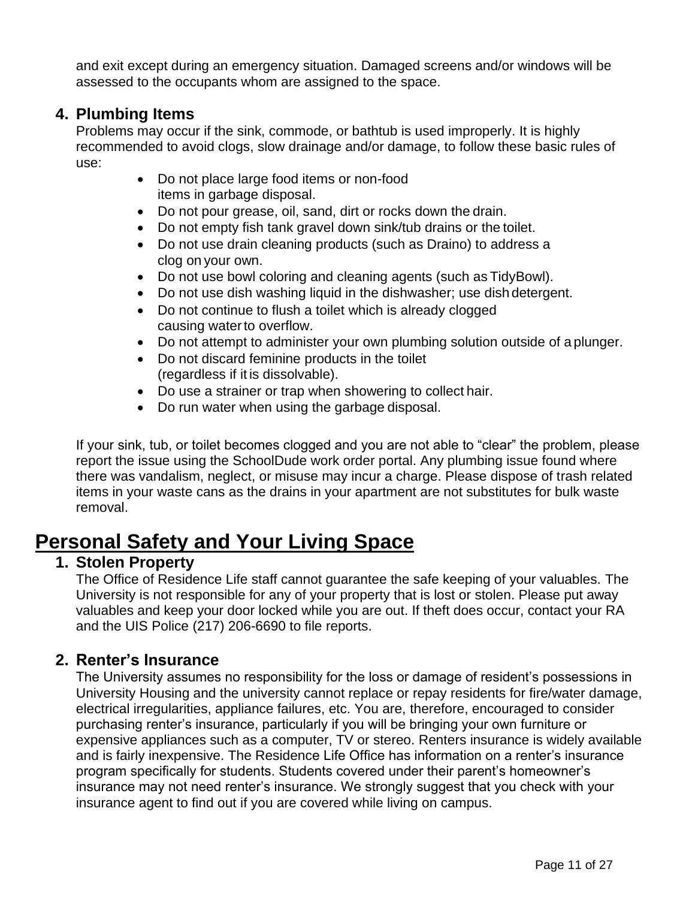and exit except during an emergency situation. Damaged screens and/or windows will be assessed to the occupants whom are assigned to the space.

#### <span id="page-10-0"></span>**4. Plumbing Items**

Problems may occur if the sink, commode, or bathtub is used improperly. It is highly recommended to avoid clogs, slow drainage and/or damage, to follow these basic rules of use:

- Do not place large food items or non-food items in garbage disposal.
- Do not pour grease, oil, sand, dirt or rocks down the drain.
- Do not empty fish tank gravel down sink/tub drains or the toilet.
- Do not use drain cleaning products (such as Draino) to address a clog on your own.
- Do not use bowl coloring and cleaning agents (such as TidyBowl).
- Do not use dish washing liquid in the dishwasher; use dish detergent.
- Do not continue to flush a toilet which is already clogged causing water to overflow.
- Do not attempt to administer your own plumbing solution outside of a plunger.
- Do not discard feminine products in the toilet (regardless if it is dissolvable).
- Do use a strainer or trap when showering to collect hair.
- Do run water when using the garbage disposal.

If your sink, tub, or toilet becomes clogged and you are not able to "clear" the problem, please report the issue using the SchoolDude work order portal. Any plumbing issue found where there was vandalism, neglect, or misuse may incur a charge. Please dispose of trash related items in your waste cans as the drains in your apartment are not substitutes for bulk waste removal.

## <span id="page-10-1"></span>**Personal Safety and Your Living Space**

### <span id="page-10-2"></span>**1. Stolen Property**

The Office of Residence Life staff cannot guarantee the safe keeping of your valuables. The University is not responsible for any of your property that is lost or stolen. Please put away valuables and keep your door locked while you are out. If theft does occur, contact your RA and the UIS Police (217) 206-6690 to file reports.

#### <span id="page-10-3"></span>**2. Renter's Insurance**

The University assumes no responsibility for the loss or damage of resident's possessions in University Housing and the university cannot replace or repay residents for fire/water damage, electrical irregularities, appliance failures, etc. You are, therefore, encouraged to consider purchasing renter's insurance, particularly if you will be bringing your own furniture or expensive appliances such as a computer, TV or stereo. Renters insurance is widely available and is fairly inexpensive. The Residence Life Office has information on a renter's insurance program specifically for students. Students covered under their parent's homeowner's insurance may not need renter's insurance. We strongly suggest that you check with your insurance agent to find out if you are covered while living on campus.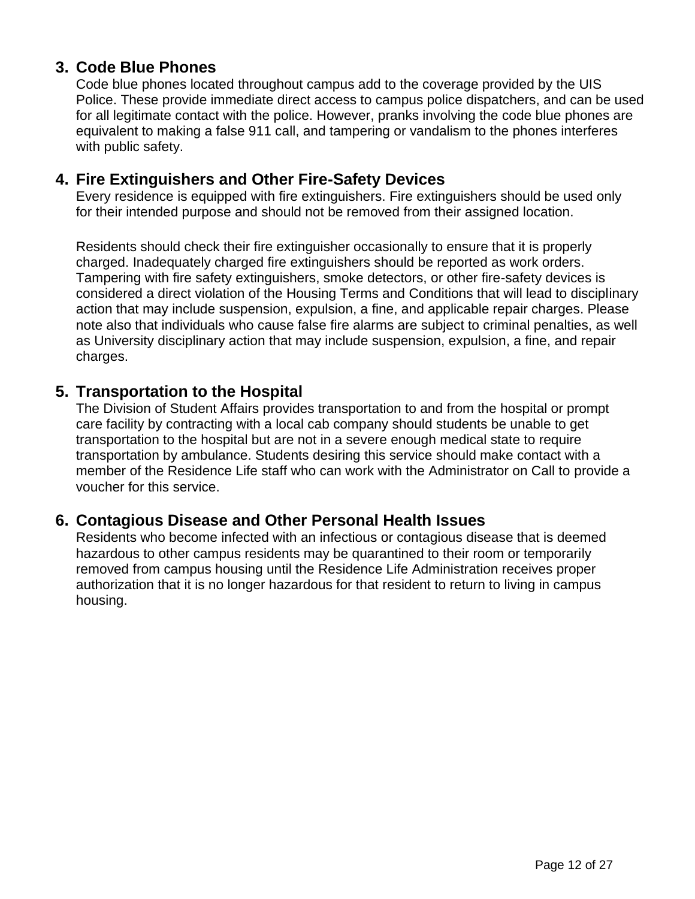## <span id="page-11-0"></span>**3. Code Blue Phones**

Code blue phones located throughout campus add to the coverage provided by the UIS Police. These provide immediate direct access to campus police dispatchers, and can be used for all legitimate contact with the police. However, pranks involving the code blue phones are equivalent to making a false 911 call, and tampering or vandalism to the phones interferes with public safety.

#### <span id="page-11-1"></span>**4. Fire Extinguishers and Other Fire-Safety Devices**

Every residence is equipped with fire extinguishers. Fire extinguishers should be used only for their intended purpose and should not be removed from their assigned location.

Residents should check their fire extinguisher occasionally to ensure that it is properly charged. Inadequately charged fire extinguishers should be reported as work orders. Tampering with fire safety extinguishers, smoke detectors, or other fire-safety devices is considered a direct violation of the Housing Terms and Conditions that will lead to disciplinary action that may include suspension, expulsion, a fine, and applicable repair charges. Please note also that individuals who cause false fire alarms are subject to criminal penalties, as well as University disciplinary action that may include suspension, expulsion, a fine, and repair charges.

#### <span id="page-11-2"></span>**5. Transportation to the Hospital**

The Division of Student Affairs provides transportation to and from the hospital or prompt care facility by contracting with a local cab company should students be unable to get transportation to the hospital but are not in a severe enough medical state to require transportation by ambulance. Students desiring this service should make contact with a member of the Residence Life staff who can work with the Administrator on Call to provide a voucher for this service.

#### <span id="page-11-3"></span>**6. Contagious Disease and Other Personal Health Issues**

Residents who become infected with an infectious or contagious disease that is deemed hazardous to other campus residents may be quarantined to their room or temporarily removed from campus housing until the Residence Life Administration receives proper authorization that it is no longer hazardous for that resident to return to living in campus housing.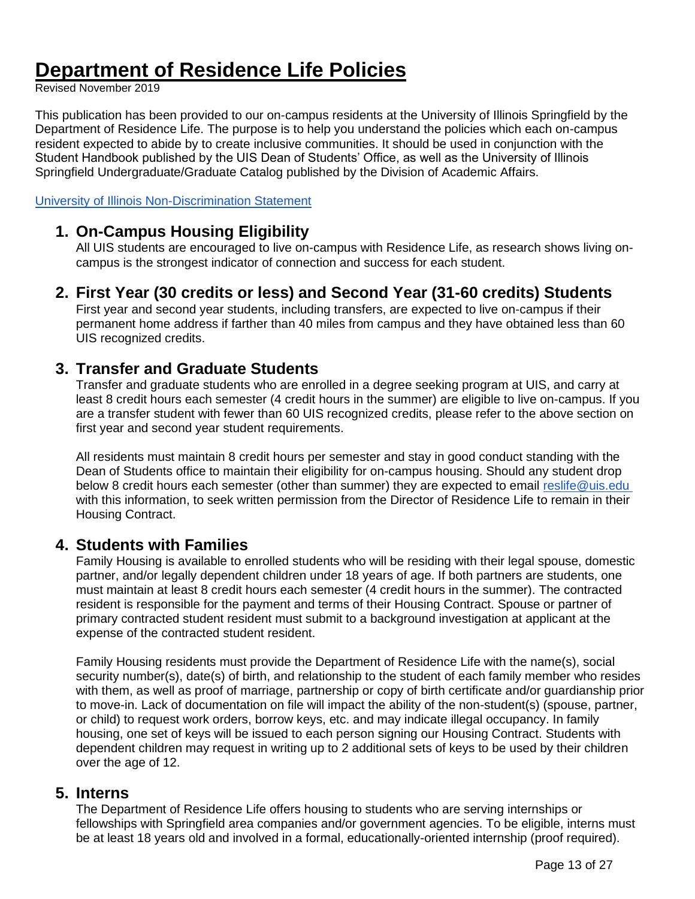## <span id="page-12-0"></span>**Department of Residence Life Policies**

Revised November 2019

This publication has been provided to our on-campus residents at the University of Illinois Springfield by the Department of Residence Life. The purpose is to help you understand the policies which each on-campus resident expected to abide by to create inclusive communities. It should be used in conjunction with the Student Handbook published by the UIS Dean of Students' Office, as well as the University of Illinois Springfield Undergraduate/Graduate Catalog published by the Division of Academic Affairs.

[University of Illinois Non-Discrimination Statement](https://www.hr.uillinois.edu/cms/One.aspx?portalId=4292&pageId=5670)

### <span id="page-12-1"></span>**1. On-Campus Housing Eligibility**

All UIS students are encouraged to live on-campus with Residence Life, as research shows living oncampus is the strongest indicator of connection and success for each student.

#### <span id="page-12-2"></span>**2. First Year (30 credits or less) and Second Year (31-60 credits) Students**

First year and second year students, including transfers, are expected to live on-campus if their permanent home address if farther than 40 miles from campus and they have obtained less than 60 UIS recognized credits.

#### <span id="page-12-3"></span>**3. Transfer and Graduate Students**

Transfer and graduate students who are enrolled in a degree seeking program at UIS, and carry at least 8 credit hours each semester (4 credit hours in the summer) are eligible to live on-campus. If you are a transfer student with fewer than 60 UIS recognized credits, please refer to the above section on first year and second year student requirements.

All residents must maintain 8 credit hours per semester and stay in good conduct standing with the Dean of Students office to maintain their eligibility for on-campus housing. Should any student drop below 8 credit hours each semester (other than summer) they are expected to email [reslife@uis.edu](mailto:reslife@uis.edu)  with this information, to seek written permission from the Director of Residence Life to remain in their Housing Contract.

#### <span id="page-12-4"></span>**4. Students with Families**

Family Housing is available to enrolled students who will be residing with their legal spouse, domestic partner, and/or legally dependent children under 18 years of age. If both partners are students, one must maintain at least 8 credit hours each semester (4 credit hours in the summer). The contracted resident is responsible for the payment and terms of their Housing Contract. Spouse or partner of primary contracted student resident must submit to a background investigation at applicant at the expense of the contracted student resident.

Family Housing residents must provide the Department of Residence Life with the name(s), social security number(s), date(s) of birth, and relationship to the student of each family member who resides with them, as well as proof of marriage, partnership or copy of birth certificate and/or guardianship prior to move-in. Lack of documentation on file will impact the ability of the non-student(s) (spouse, partner, or child) to request work orders, borrow keys, etc. and may indicate illegal occupancy. In family housing, one set of keys will be issued to each person signing our Housing Contract. Students with dependent children may request in writing up to 2 additional sets of keys to be used by their children over the age of 12.

#### <span id="page-12-5"></span>**5. Interns**

The Department of Residence Life offers housing to students who are serving internships or fellowships with Springfield area companies and/or government agencies. To be eligible, interns must be at least 18 years old and involved in a formal, educationally-oriented internship (proof required).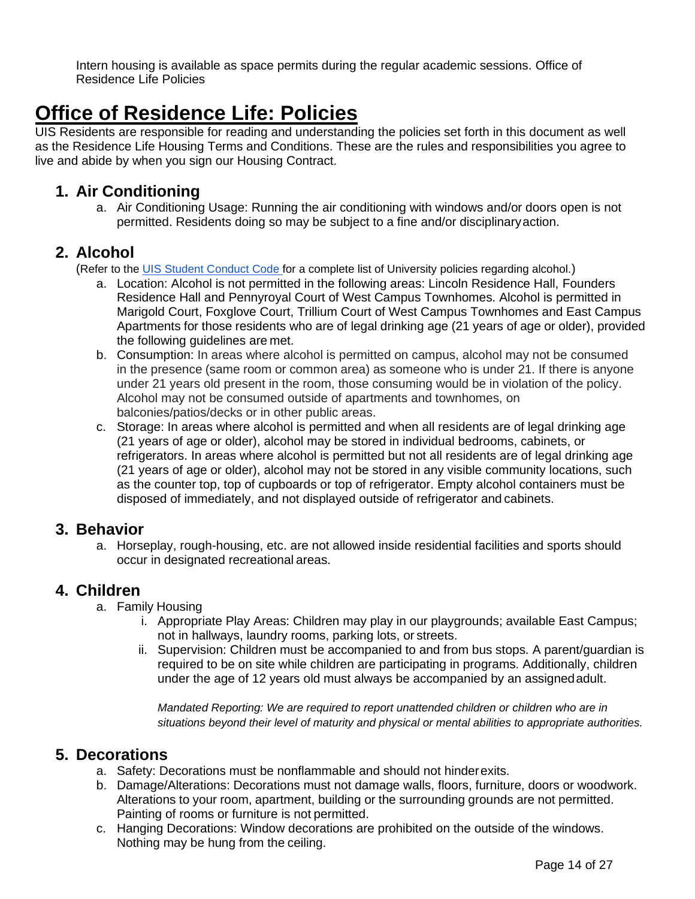Intern housing is available as space permits during the regular academic sessions. Office of Residence Life Policies

# <span id="page-13-0"></span>**Office of Residence Life: Policies**

UIS Residents are responsible for reading and understanding the policies set forth in this document as well as the Residence Life Housing Terms and Conditions. These are the rules and responsibilities you agree to live and abide by when you sign our Housing Contract.

#### <span id="page-13-1"></span>**1. Air Conditioning**

a. Air Conditioning Usage: Running the air conditioning with windows and/or doors open is not permitted. Residents doing so may be subject to a fine and/or disciplinaryaction.

#### <span id="page-13-2"></span>**2. Alcohol**

(Refer to the [UIS Student Conduct Code f](https://www.uis.edu/studentaffairs/wp-content/uploads/sites/121/2013/05/STUDENT-CONDUCT-CODE-REVISION-7-6-2016.pdf)or a complete list of University policies regarding alcohol.)

- a. Location: Alcohol is not permitted in the following areas: Lincoln Residence Hall, Founders Residence Hall and Pennyroyal Court of West Campus Townhomes. Alcohol is permitted in Marigold Court, Foxglove Court, Trillium Court of West Campus Townhomes and East Campus Apartments for those residents who are of legal drinking age (21 years of age or older), provided the following guidelines are met.
- b. Consumption: In areas where alcohol is permitted on campus, alcohol may not be consumed in the presence (same room or common area) as someone who is under 21. If there is anyone under 21 years old present in the room, those consuming would be in violation of the policy. Alcohol may not be consumed outside of apartments and townhomes, on balconies/patios/decks or in other public areas.
- c. Storage: In areas where alcohol is permitted and when all residents are of legal drinking age (21 years of age or older), alcohol may be stored in individual bedrooms, cabinets, or refrigerators. In areas where alcohol is permitted but not all residents are of legal drinking age (21 years of age or older), alcohol may not be stored in any visible community locations, such as the counter top, top of cupboards or top of refrigerator. Empty alcohol containers must be disposed of immediately, and not displayed outside of refrigerator and cabinets.

#### <span id="page-13-3"></span>**3. Behavior**

a. Horseplay, rough-housing, etc. are not allowed inside residential facilities and sports should occur in designated recreational areas.

#### <span id="page-13-4"></span>**4. Children**

- a. Family Housing
	- i. Appropriate Play Areas: Children may play in our playgrounds; available East Campus; not in hallways, laundry rooms, parking lots, or streets.
	- ii. Supervision: Children must be accompanied to and from bus stops. A parent/guardian is required to be on site while children are participating in programs. Additionally, children under the age of 12 years old must always be accompanied by an assignedadult.

*Mandated Reporting: We are required to report unattended children or children who are in situations beyond their level of maturity and physical or mental abilities to appropriate authorities.*

## <span id="page-13-5"></span>**5. Decorations**

- a. Safety: Decorations must be nonflammable and should not hinderexits.
- b. Damage/Alterations: Decorations must not damage walls, floors, furniture, doors or woodwork. Alterations to your room, apartment, building or the surrounding grounds are not permitted. Painting of rooms or furniture is not permitted.
- c. Hanging Decorations: Window decorations are prohibited on the outside of the windows. Nothing may be hung from the ceiling.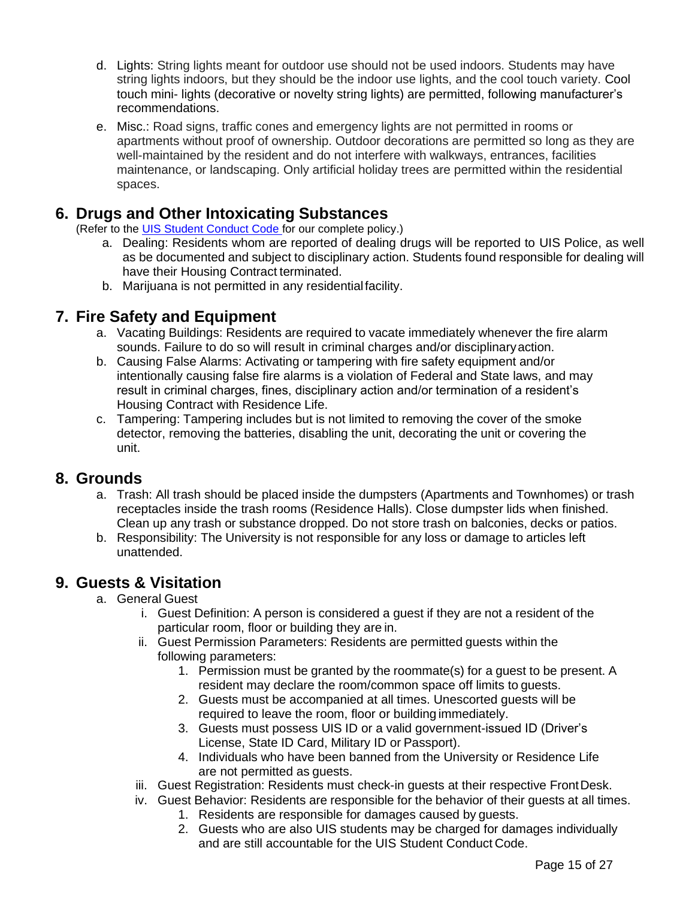- d. Lights: String lights meant for outdoor use should not be used indoors. Students may have string lights indoors, but they should be the indoor use lights, and the cool touch variety. Cool touch mini- lights (decorative or novelty string lights) are permitted, following manufacturer's recommendations.
- e. Misc.: Road signs, traffic cones and emergency lights are not permitted in rooms or apartments without proof of ownership. Outdoor decorations are permitted so long as they are well-maintained by the resident and do not interfere with walkways, entrances, facilities maintenance, or landscaping. Only artificial holiday trees are permitted within the residential spaces.

### <span id="page-14-0"></span>**6. Drugs and Other Intoxicating Substances**

(Refer to the [UIS Student Conduct Code f](https://www.uis.edu/studentaffairs/wp-content/uploads/sites/121/2013/05/STUDENT-CONDUCT-CODE-REVISION-7-6-2016.pdf)or our complete policy.)

- a. Dealing: Residents whom are reported of dealing drugs will be reported to UIS Police, as well as be documented and subject to disciplinary action. Students found responsible for dealing will have their Housing Contract terminated.
- b. Marijuana is not permitted in any residentialfacility.

#### <span id="page-14-1"></span>**7. Fire Safety and Equipment**

- a. Vacating Buildings: Residents are required to vacate immediately whenever the fire alarm sounds. Failure to do so will result in criminal charges and/or disciplinaryaction.
- b. Causing False Alarms: Activating or tampering with fire safety equipment and/or intentionally causing false fire alarms is a violation of Federal and State laws, and may result in criminal charges, fines, disciplinary action and/or termination of a resident's Housing Contract with Residence Life.
- c. Tampering: Tampering includes but is not limited to removing the cover of the smoke detector, removing the batteries, disabling the unit, decorating the unit or covering the unit.

#### <span id="page-14-2"></span>**8. Grounds**

- a. Trash: All trash should be placed inside the dumpsters (Apartments and Townhomes) or trash receptacles inside the trash rooms (Residence Halls). Close dumpster lids when finished. Clean up any trash or substance dropped. Do not store trash on balconies, decks or patios.
- b. Responsibility: The University is not responsible for any loss or damage to articles left unattended.

#### <span id="page-14-3"></span>**9. Guests & Visitation**

- a. General Guest
	- i. Guest Definition: A person is considered a guest if they are not a resident of the particular room, floor or building they are in.
	- ii. Guest Permission Parameters: Residents are permitted guests within the following parameters:
		- 1. Permission must be granted by the roommate(s) for a guest to be present. A resident may declare the room/common space off limits to guests.
		- 2. Guests must be accompanied at all times. Unescorted guests will be required to leave the room, floor or building immediately.
		- 3. Guests must possess UIS ID or a valid government-issued ID (Driver's License, State ID Card, Military ID or Passport).
		- 4. Individuals who have been banned from the University or Residence Life are not permitted as guests.
	- iii. Guest Registration: Residents must check-in guests at their respective FrontDesk.
	- iv. Guest Behavior: Residents are responsible for the behavior of their guests at all times.
		- 1. Residents are responsible for damages caused by guests.
		- 2. Guests who are also UIS students may be charged for damages individually and are still accountable for the UIS Student Conduct Code.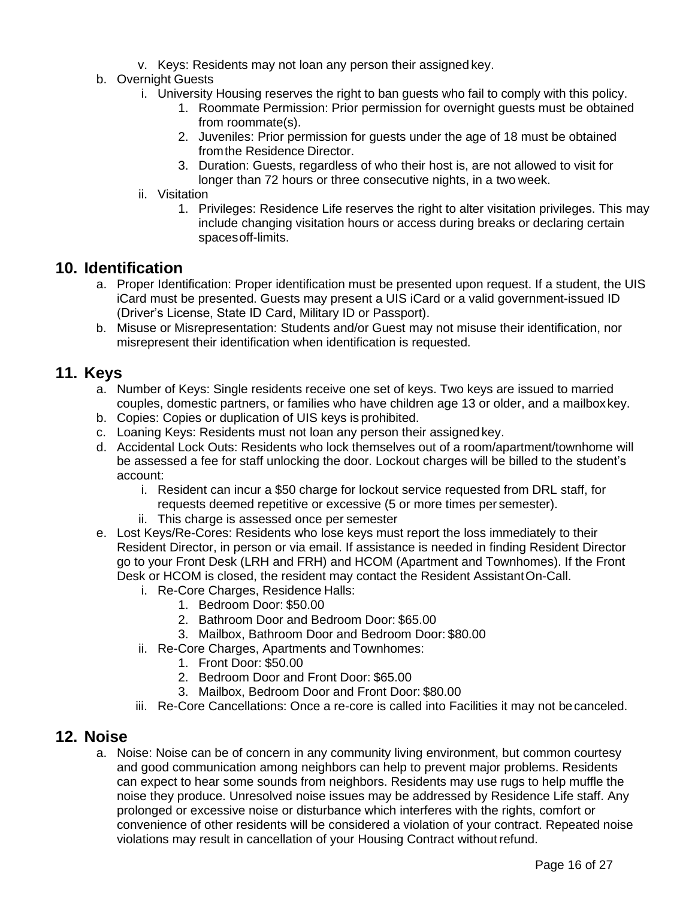- v. Keys: Residents may not loan any person their assigned key.
- b. Overnight Guests
	- i. University Housing reserves the right to ban guests who fail to comply with this policy.
		- 1. Roommate Permission: Prior permission for overnight guests must be obtained from roommate(s).
		- 2. Juveniles: Prior permission for guests under the age of 18 must be obtained fromthe Residence Director.
		- 3. Duration: Guests, regardless of who their host is, are not allowed to visit for longer than 72 hours or three consecutive nights, in a two week.
	- ii. Visitation
		- 1. Privileges: Residence Life reserves the right to alter visitation privileges. This may include changing visitation hours or access during breaks or declaring certain spacesoff-limits.

#### <span id="page-15-0"></span>**10. Identification**

- a. Proper Identification: Proper identification must be presented upon request. If a student, the UIS iCard must be presented. Guests may present a UIS iCard or a valid government-issued ID (Driver's License, State ID Card, Military ID or Passport).
- b. Misuse or Misrepresentation: Students and/or Guest may not misuse their identification, nor misrepresent their identification when identification is requested.

#### <span id="page-15-1"></span>**11. Keys**

- a. Number of Keys: Single residents receive one set of keys. Two keys are issued to married couples, domestic partners, or families who have children age 13 or older, and a mailboxkey.
- b. Copies: Copies or duplication of UIS keys is prohibited.
- c. Loaning Keys: Residents must not loan any person their assignedkey.
- d. Accidental Lock Outs: Residents who lock themselves out of a room/apartment/townhome will be assessed a fee for staff unlocking the door. Lockout charges will be billed to the student's account:
	- i. Resident can incur a \$50 charge for lockout service requested from DRL staff, for requests deemed repetitive or excessive (5 or more times per semester).
	- ii. This charge is assessed once per semester
- e. Lost Keys/Re-Cores: Residents who lose keys must report the loss immediately to their Resident Director, in person or via email. If assistance is needed in finding Resident Director go to your Front Desk (LRH and FRH) and HCOM (Apartment and Townhomes). If the Front Desk or HCOM is closed, the resident may contact the Resident AssistantOn-Call.
	- i. Re-Core Charges, Residence Halls:
		- 1. Bedroom Door: \$50.00
		- 2. Bathroom Door and Bedroom Door: \$65.00
		- 3. Mailbox, Bathroom Door and Bedroom Door: \$80.00
	- ii. Re-Core Charges, Apartments and Townhomes:
		- 1. Front Door: \$50.00
		- 2. Bedroom Door and Front Door: \$65.00
		- 3. Mailbox, Bedroom Door and Front Door: \$80.00
	- iii. Re-Core Cancellations: Once a re-core is called into Facilities it may not becanceled.

#### <span id="page-15-2"></span>**12. Noise**

a. Noise: Noise can be of concern in any community living environment, but common courtesy and good communication among neighbors can help to prevent major problems. Residents can expect to hear some sounds from neighbors. Residents may use rugs to help muffle the noise they produce. Unresolved noise issues may be addressed by Residence Life staff. Any prolonged or excessive noise or disturbance which interferes with the rights, comfort or convenience of other residents will be considered a violation of your contract. Repeated noise violations may result in cancellation of your Housing Contract withoutrefund.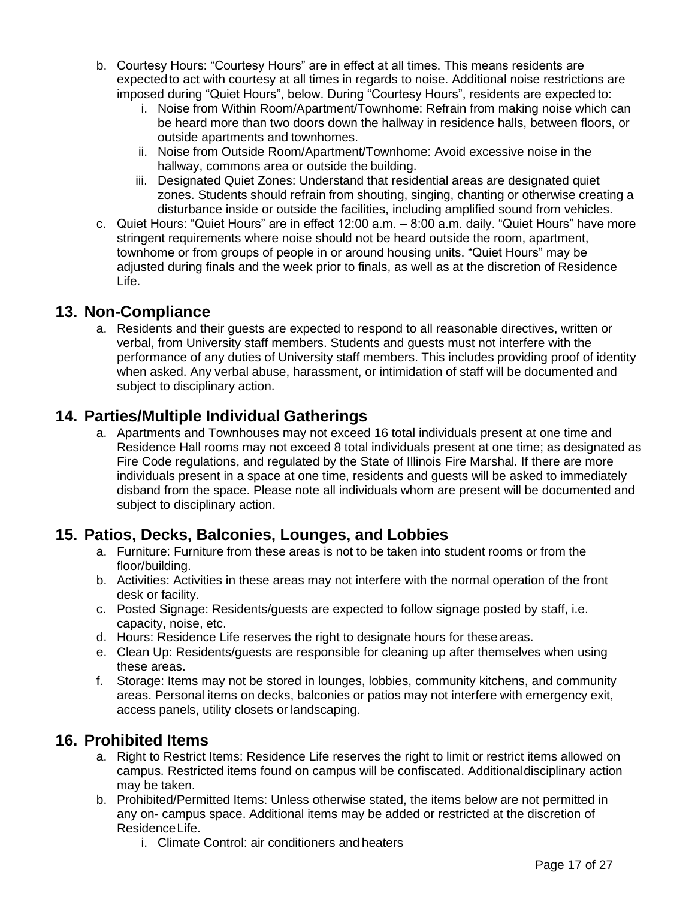- b. Courtesy Hours: "Courtesy Hours" are in effect at all times. This means residents are expectedto act with courtesy at all times in regards to noise. Additional noise restrictions are imposed during "Quiet Hours", below. During "Courtesy Hours", residents are expected to:
	- i. Noise from Within Room/Apartment/Townhome: Refrain from making noise which can be heard more than two doors down the hallway in residence halls, between floors, or outside apartments and townhomes.
	- ii. Noise from Outside Room/Apartment/Townhome: Avoid excessive noise in the hallway, commons area or outside the building.
	- iii. Designated Quiet Zones: Understand that residential areas are designated quiet zones. Students should refrain from shouting, singing, chanting or otherwise creating a disturbance inside or outside the facilities, including amplified sound from vehicles.
- c. Quiet Hours: "Quiet Hours" are in effect 12:00 a.m. 8:00 a.m. daily. "Quiet Hours" have more stringent requirements where noise should not be heard outside the room, apartment, townhome or from groups of people in or around housing units. "Quiet Hours" may be adjusted during finals and the week prior to finals, as well as at the discretion of Residence Life.

#### <span id="page-16-0"></span>**13. Non-Compliance**

a. Residents and their guests are expected to respond to all reasonable directives, written or verbal, from University staff members. Students and guests must not interfere with the performance of any duties of University staff members. This includes providing proof of identity when asked. Any verbal abuse, harassment, or intimidation of staff will be documented and subject to disciplinary action.

#### <span id="page-16-1"></span>**14. Parties/Multiple Individual Gatherings**

a. Apartments and Townhouses may not exceed 16 total individuals present at one time and Residence Hall rooms may not exceed 8 total individuals present at one time; as designated as Fire Code regulations, and regulated by the State of Illinois Fire Marshal. If there are more individuals present in a space at one time, residents and guests will be asked to immediately disband from the space. Please note all individuals whom are present will be documented and subject to disciplinary action.

#### <span id="page-16-2"></span>**15. Patios, Decks, Balconies, Lounges, and Lobbies**

- a. Furniture: Furniture from these areas is not to be taken into student rooms or from the floor/building.
- b. Activities: Activities in these areas may not interfere with the normal operation of the front desk or facility.
- c. Posted Signage: Residents/guests are expected to follow signage posted by staff, i.e. capacity, noise, etc.
- d. Hours: Residence Life reserves the right to designate hours for theseareas.
- e. Clean Up: Residents/guests are responsible for cleaning up after themselves when using these areas.
- f. Storage: Items may not be stored in lounges, lobbies, community kitchens, and community areas. Personal items on decks, balconies or patios may not interfere with emergency exit, access panels, utility closets or landscaping.

#### <span id="page-16-3"></span>**16. Prohibited Items**

- a. Right to Restrict Items: Residence Life reserves the right to limit or restrict items allowed on campus. Restricted items found on campus will be confiscated. Additionaldisciplinary action may be taken.
- b. Prohibited/Permitted Items: Unless otherwise stated, the items below are not permitted in any on- campus space. Additional items may be added or restricted at the discretion of ResidenceLife.
	- i. Climate Control: air conditioners and heaters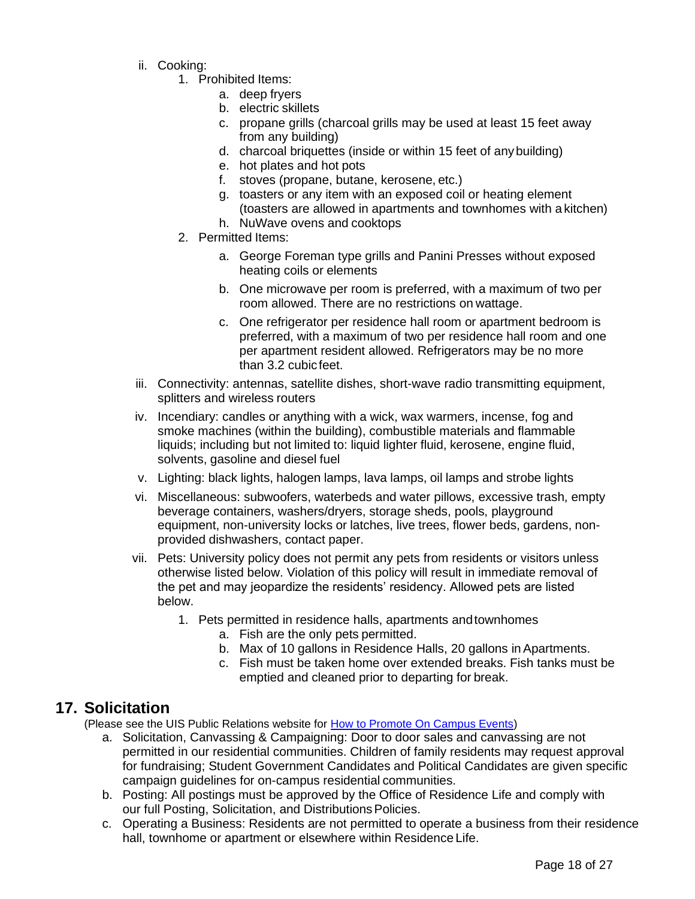- ii. Cooking:
	- 1. Prohibited Items:
		- a. deep fryers
		- b. electric skillets
		- c. propane grills (charcoal grills may be used at least 15 feet away from any building)
		- d. charcoal briquettes (inside or within 15 feet of anybuilding)
		- e. hot plates and hot pots
		- f. stoves (propane, butane, kerosene, etc.)
		- g. toasters or any item with an exposed coil or heating element (toasters are allowed in apartments and townhomes with a kitchen)
		- h. NuWave ovens and cooktops
	- 2. Permitted Items:
		- a. George Foreman type grills and Panini Presses without exposed heating coils or elements
		- b. One microwave per room is preferred, with a maximum of two per room allowed. There are no restrictions on wattage.
		- c. One refrigerator per residence hall room or apartment bedroom is preferred, with a maximum of two per residence hall room and one per apartment resident allowed. Refrigerators may be no more than 3.2 cubicfeet.
- iii. Connectivity: antennas, satellite dishes, short-wave radio transmitting equipment, splitters and wireless routers
- iv. Incendiary: candles or anything with a wick, wax warmers, incense, fog and smoke machines (within the building), combustible materials and flammable liquids; including but not limited to: liquid lighter fluid, kerosene, engine fluid, solvents, gasoline and diesel fuel
- v. Lighting: black lights, halogen lamps, lava lamps, oil lamps and strobe lights
- vi. Miscellaneous: subwoofers, waterbeds and water pillows, excessive trash, empty beverage containers, washers/dryers, storage sheds, pools, playground equipment, non-university locks or latches, live trees, flower beds, gardens, nonprovided dishwashers, contact paper.
- vii. Pets: University policy does not permit any pets from residents or visitors unless otherwise listed below. Violation of this policy will result in immediate removal of the pet and may jeopardize the residents' residency. Allowed pets are listed below.
	- 1. Pets permitted in residence halls, apartments andtownhomes
		- a. Fish are the only pets permitted.
		- b. Max of 10 gallons in Residence Halls, 20 gallons in Apartments.
		- c. Fish must be taken home over extended breaks. Fish tanks must be emptied and cleaned prior to departing for break.

#### <span id="page-17-0"></span>**17. Solicitation**

(Please see the UIS Public Relations website for [How to Promote On Campus Events\)](https://www.uis.edu/campusrelations/on-campus-events/)

- a. Solicitation, Canvassing & Campaigning: Door to door sales and canvassing are not permitted in our residential communities. Children of family residents may request approval for fundraising; Student Government Candidates and Political Candidates are given specific campaign guidelines for on-campus residential communities.
- b. Posting: All postings must be approved by the Office of Residence Life and comply with our full Posting, Solicitation, and Distributions Policies.
- c. Operating a Business: Residents are not permitted to operate a business from their residence hall, townhome or apartment or elsewhere within Residence Life.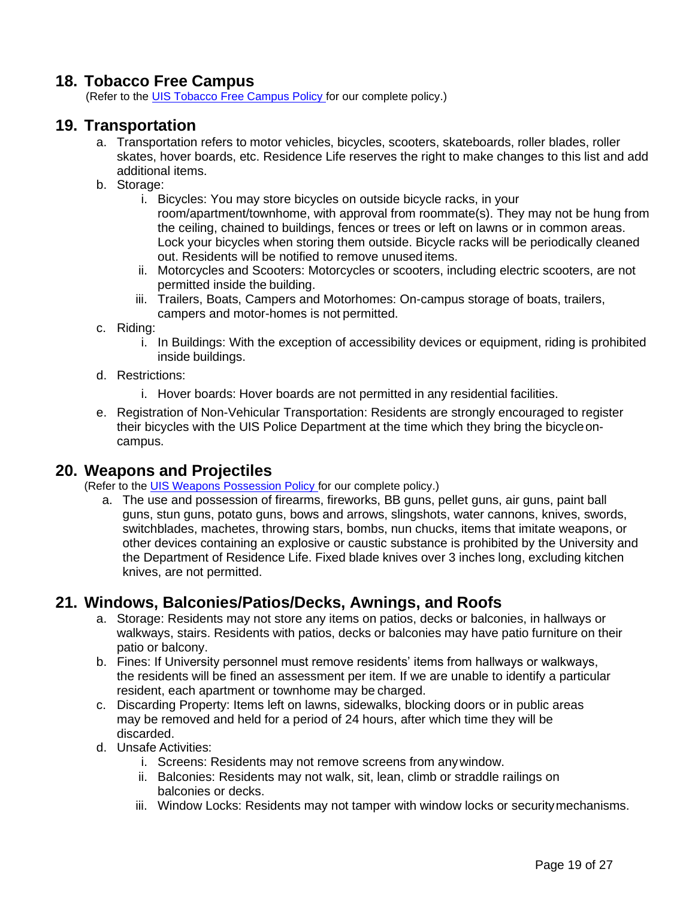#### <span id="page-18-0"></span>**18. Tobacco Free Campus**

(Refer to the [UIS Tobacco Free Campus Policy f](https://www.uis.edu/academicstaffhandbook/wp-content/uploads/sites/84/2015/02/Tobacco-Free-Campus-Policy-July-1-2016.pdf)or our complete policy.)

#### <span id="page-18-1"></span>**19. Transportation**

- a. Transportation refers to motor vehicles, bicycles, scooters, skateboards, roller blades, roller skates, hover boards, etc. Residence Life reserves the right to make changes to this list and add additional items.
- b. Storage:
	- i. Bicycles: You may store bicycles on outside bicycle racks, in your room/apartment/townhome, with approval from roommate(s). They may not be hung from the ceiling, chained to buildings, fences or trees or left on lawns or in common areas. Lock your bicycles when storing them outside. Bicycle racks will be periodically cleaned out. Residents will be notified to remove unused items.
	- ii. Motorcycles and Scooters: Motorcycles or scooters, including electric scooters, are not permitted inside the building.
	- iii. Trailers, Boats, Campers and Motorhomes: On-campus storage of boats, trailers, campers and motor-homes is not permitted.
- c. Riding:
	- i. In Buildings: With the exception of accessibility devices or equipment, riding is prohibited inside buildings.
- d. Restrictions:
	- i. Hover boards: Hover boards are not permitted in any residential facilities.
- e. Registration of Non-Vehicular Transportation: Residents are strongly encouraged to register their bicycles with the UIS Police Department at the time which they bring the bicycleoncampus.

#### <span id="page-18-2"></span>**20. Weapons and Projectiles**

(Refer to the [UIS Weapons Possession Policy f](https://www.uis.edu/academicstaffhandbook/university-policies/weapons_possession_policy/)or our complete policy.)

a. The use and possession of firearms, fireworks, BB guns, pellet guns, air guns, paint ball guns, stun guns, potato guns, bows and arrows, slingshots, water cannons, knives, swords, switchblades, machetes, throwing stars, bombs, nun chucks, items that imitate weapons, or other devices containing an explosive or caustic substance is prohibited by the University and the Department of Residence Life. Fixed blade knives over 3 inches long, excluding kitchen knives, are not permitted.

#### <span id="page-18-3"></span>**21. Windows, Balconies/Patios/Decks, Awnings, and Roofs**

- a. Storage: Residents may not store any items on patios, decks or balconies, in hallways or walkways, stairs. Residents with patios, decks or balconies may have patio furniture on their patio or balcony.
- b. Fines: If University personnel must remove residents' items from hallways or walkways, the residents will be fined an assessment per item. If we are unable to identify a particular resident, each apartment or townhome may be charged.
- c. Discarding Property: Items left on lawns, sidewalks, blocking doors or in public areas may be removed and held for a period of 24 hours, after which time they will be discarded.
- d. Unsafe Activities:
	- i. Screens: Residents may not remove screens from anywindow.
	- ii. Balconies: Residents may not walk, sit, lean, climb or straddle railings on balconies or decks.
	- iii. Window Locks: Residents may not tamper with window locks or securitymechanisms.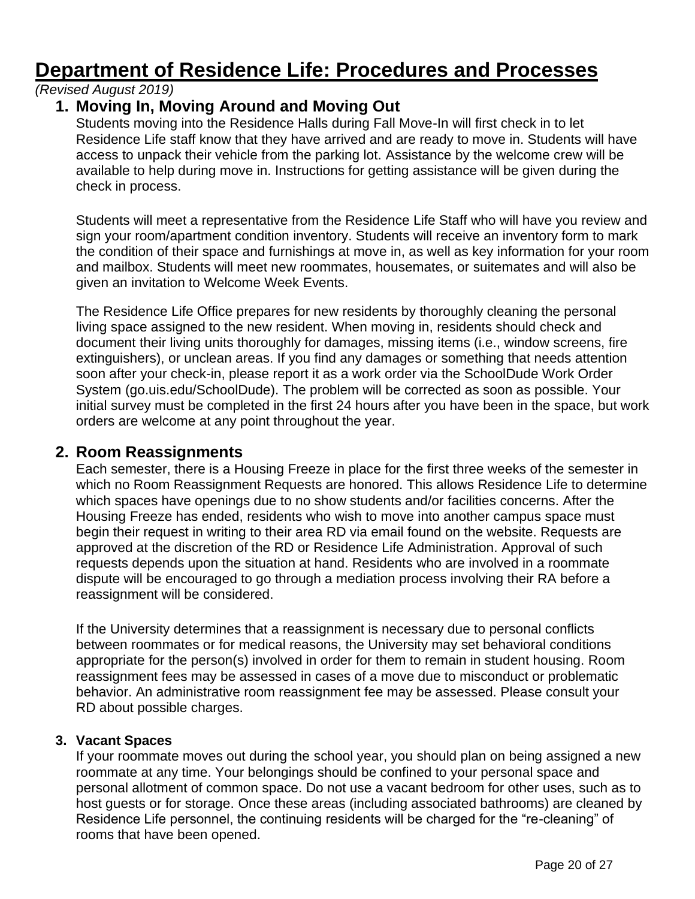# <span id="page-19-0"></span>**Department of Residence Life: Procedures and Processes**

#### *(Revised August 2019)*

## <span id="page-19-1"></span>**1. Moving In, Moving Around and Moving Out**

Students moving into the Residence Halls during Fall Move-In will first check in to let Residence Life staff know that they have arrived and are ready to move in. Students will have access to unpack their vehicle from the parking lot. Assistance by the welcome crew will be available to help during move in. Instructions for getting assistance will be given during the check in process.

Students will meet a representative from the Residence Life Staff who will have you review and sign your room/apartment condition inventory. Students will receive an inventory form to mark the condition of their space and furnishings at move in, as well as key information for your room and mailbox. Students will meet new roommates, housemates, or suitemates and will also be given an invitation to Welcome Week Events.

The Residence Life Office prepares for new residents by thoroughly cleaning the personal living space assigned to the new resident. When moving in, residents should check and document their living units thoroughly for damages, missing items (i.e., window screens, fire extinguishers), or unclean areas. If you find any damages or something that needs attention soon after your check-in, please report it as a work order via the SchoolDude Work Order System (go.uis.edu/SchoolDude). The problem will be corrected as soon as possible. Your initial survey must be completed in the first 24 hours after you have been in the space, but work orders are welcome at any point throughout the year.

#### <span id="page-19-2"></span>**2. Room Reassignments**

Each semester, there is a Housing Freeze in place for the first three weeks of the semester in which no Room Reassignment Requests are honored. This allows Residence Life to determine which spaces have openings due to no show students and/or facilities concerns. After the Housing Freeze has ended, residents who wish to move into another campus space must begin their request in writing to their area RD via email found on the website. Requests are approved at the discretion of the RD or Residence Life Administration. Approval of such requests depends upon the situation at hand. Residents who are involved in a roommate dispute will be encouraged to go through a mediation process involving their RA before a reassignment will be considered.

If the University determines that a reassignment is necessary due to personal conflicts between roommates or for medical reasons, the University may set behavioral conditions appropriate for the person(s) involved in order for them to remain in student housing. Room reassignment fees may be assessed in cases of a move due to misconduct or problematic behavior. An administrative room reassignment fee may be assessed. Please consult your RD about possible charges.

#### **3. Vacant Spaces**

If your roommate moves out during the school year, you should plan on being assigned a new roommate at any time. Your belongings should be confined to your personal space and personal allotment of common space. Do not use a vacant bedroom for other uses, such as to host guests or for storage. Once these areas (including associated bathrooms) are cleaned by Residence Life personnel, the continuing residents will be charged for the "re-cleaning" of rooms that have been opened.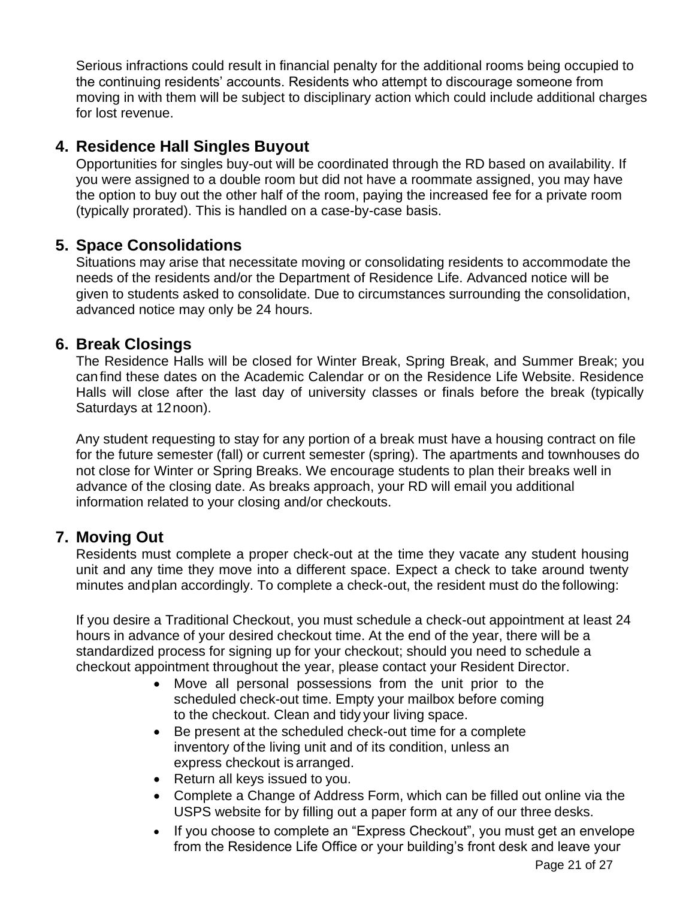Serious infractions could result in financial penalty for the additional rooms being occupied to the continuing residents' accounts. Residents who attempt to discourage someone from moving in with them will be subject to disciplinary action which could include additional charges for lost revenue.

#### <span id="page-20-0"></span>**4. Residence Hall Singles Buyout**

Opportunities for singles buy-out will be coordinated through the RD based on availability. If you were assigned to a double room but did not have a roommate assigned, you may have the option to buy out the other half of the room, paying the increased fee for a private room (typically prorated). This is handled on a case-by-case basis.

#### <span id="page-20-1"></span>**5. Space Consolidations**

Situations may arise that necessitate moving or consolidating residents to accommodate the needs of the residents and/or the Department of Residence Life. Advanced notice will be given to students asked to consolidate. Due to circumstances surrounding the consolidation, advanced notice may only be 24 hours.

#### <span id="page-20-2"></span>**6. Break Closings**

The Residence Halls will be closed for Winter Break, Spring Break, and Summer Break; you canfind these dates on the Academic Calendar or on the Residence Life Website. Residence Halls will close after the last day of university classes or finals before the break (typically Saturdays at 12noon).

Any student requesting to stay for any portion of a break must have a housing contract on file for the future semester (fall) or current semester (spring). The apartments and townhouses do not close for Winter or Spring Breaks. We encourage students to plan their breaks well in advance of the closing date. As breaks approach, your RD will email you additional information related to your closing and/or checkouts.

#### <span id="page-20-3"></span>**7. Moving Out**

Residents must complete a proper check-out at the time they vacate any student housing unit and any time they move into a different space. Expect a check to take around twenty minutes andplan accordingly. To complete a check-out, the resident must do the following:

If you desire a Traditional Checkout, you must schedule a check-out appointment at least 24 hours in advance of your desired checkout time. At the end of the year, there will be a standardized process for signing up for your checkout; should you need to schedule a checkout appointment throughout the year, please contact your Resident Director.

- Move all personal possessions from the unit prior to the scheduled check-out time. Empty your mailbox before coming to the checkout. Clean and tidy your living space.
- Be present at the scheduled check-out time for a complete inventory of the living unit and of its condition, unless an express checkout is arranged.
- Return all keys issued to you.
- Complete a Change of Address Form, which can be filled out online via the USPS website for by filling out a paper form at any of our three desks.
- If you choose to complete an "Express Checkout", you must get an envelope from the Residence Life Office or your building's front desk and leave your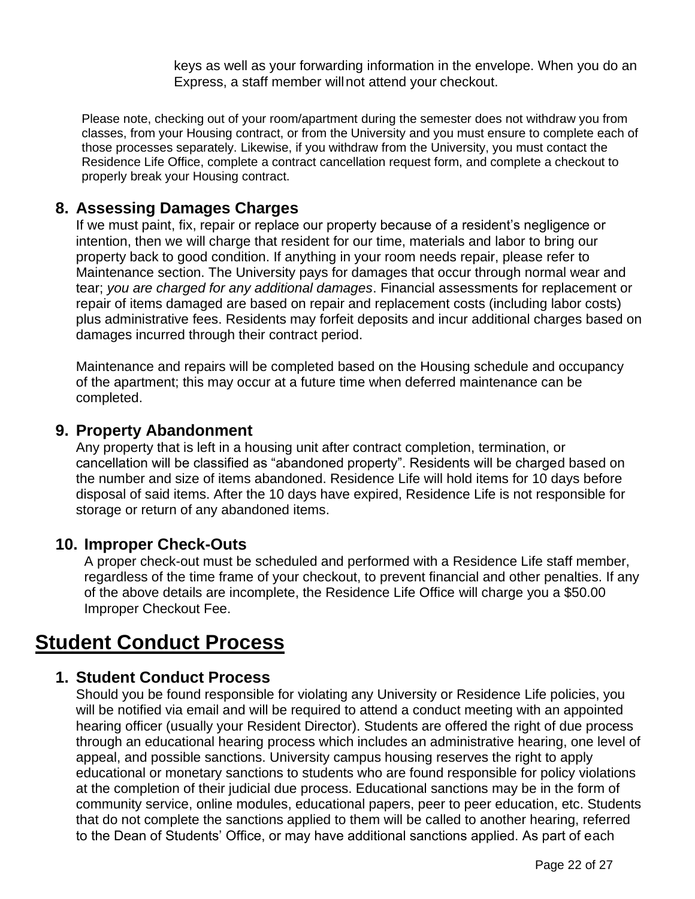keys as well as your forwarding information in the envelope. When you do an Express, a staff member willnot attend your checkout.

Please note, checking out of your room/apartment during the semester does not withdraw you from classes, from your Housing contract, or from the University and you must ensure to complete each of those processes separately. Likewise, if you withdraw from the University, you must contact the Residence Life Office, complete a contract cancellation request form, and complete a checkout to properly break your Housing contract.

#### <span id="page-21-0"></span>**8. Assessing Damages Charges**

If we must paint, fix, repair or replace our property because of a resident's negligence or intention, then we will charge that resident for our time, materials and labor to bring our property back to good condition. If anything in your room needs repair, please refer to Maintenance section. The University pays for damages that occur through normal wear and tear; *you are charged for any additional damages*. Financial assessments for replacement or repair of items damaged are based on repair and replacement costs (including labor costs) plus administrative fees. Residents may forfeit deposits and incur additional charges based on damages incurred through their contract period.

Maintenance and repairs will be completed based on the Housing schedule and occupancy of the apartment; this may occur at a future time when deferred maintenance can be completed.

#### <span id="page-21-1"></span>**9. Property Abandonment**

Any property that is left in a housing unit after contract completion, termination, or cancellation will be classified as "abandoned property". Residents will be charged based on the number and size of items abandoned. Residence Life will hold items for 10 days before disposal of said items. After the 10 days have expired, Residence Life is not responsible for storage or return of any abandoned items.

#### <span id="page-21-2"></span>**10. Improper Check-Outs**

A proper check-out must be scheduled and performed with a Residence Life staff member, regardless of the time frame of your checkout, to prevent financial and other penalties. If any of the above details are incomplete, the Residence Life Office will charge you a \$50.00 Improper Checkout Fee.

## <span id="page-21-3"></span>**Student Conduct Process**

#### <span id="page-21-4"></span>**1. Student Conduct Process**

Should you be found responsible for violating any University or Residence Life policies, you will be notified via email and will be required to attend a conduct meeting with an appointed hearing officer (usually your Resident Director). Students are offered the right of due process through an educational hearing process which includes an administrative hearing, one level of appeal, and possible sanctions. University campus housing reserves the right to apply educational or monetary sanctions to students who are found responsible for policy violations at the completion of their judicial due process. Educational sanctions may be in the form of community service, online modules, educational papers, peer to peer education, etc. Students that do not complete the sanctions applied to them will be called to another hearing, referred to the Dean of Students' Office, or may have additional sanctions applied. As part of each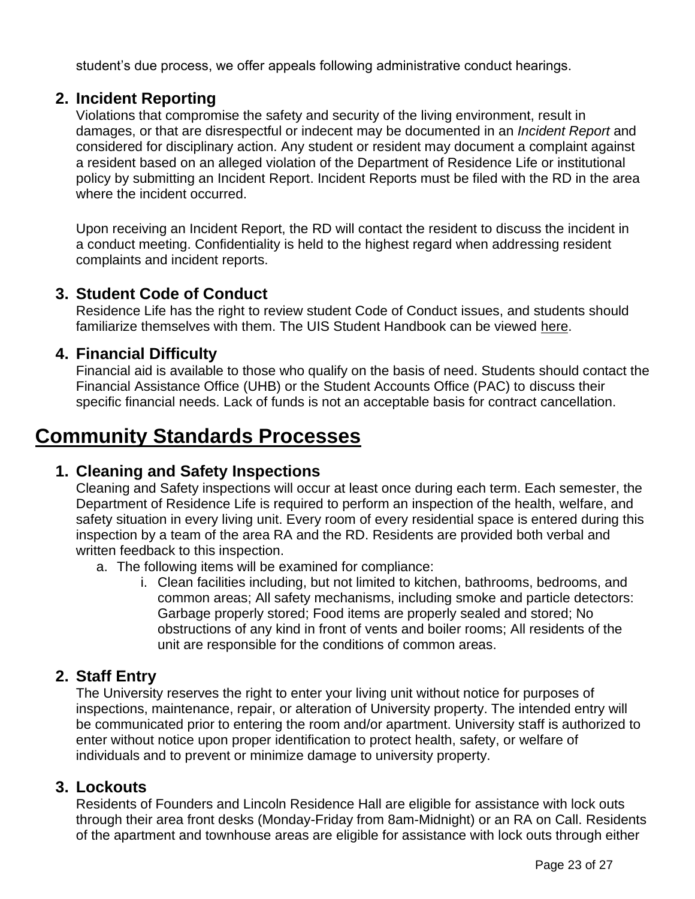student's due process, we offer appeals following administrative conduct hearings.

#### <span id="page-22-0"></span>**2. Incident Reporting**

Violations that compromise the safety and security of the living environment, result in damages, or that are disrespectful or indecent may be documented in an *Incident Report* and considered for disciplinary action. Any student or resident may document a complaint against a resident based on an alleged violation of the Department of Residence Life or institutional policy by submitting an Incident Report. Incident Reports must be filed with the RD in the area where the incident occurred.

Upon receiving an Incident Report, the RD will contact the resident to discuss the incident in a conduct meeting. Confidentiality is held to the highest regard when addressing resident complaints and incident reports.

#### <span id="page-22-1"></span>**3. Student Code of Conduct**

Residence Life has the right to review student Code of Conduct issues, and students should familiarize themselves with them. The UIS Student Handbook can be viewed [here.](http://www.uis.edu/studentaffairs/students/handbook/)

#### <span id="page-22-2"></span>**4. Financial Difficulty**

Financial aid is available to those who qualify on the basis of need. Students should contact the Financial Assistance Office (UHB) or the Student Accounts Office (PAC) to discuss their specific financial needs. Lack of funds is not an acceptable basis for contract cancellation.

## <span id="page-22-3"></span>**Community Standards Processes**

#### <span id="page-22-4"></span>**1. Cleaning and Safety Inspections**

Cleaning and Safety inspections will occur at least once during each term. Each semester, the Department of Residence Life is required to perform an inspection of the health, welfare, and safety situation in every living unit. Every room of every residential space is entered during this inspection by a team of the area RA and the RD. Residents are provided both verbal and written feedback to this inspection.

- a. The following items will be examined for compliance:
	- i. Clean facilities including, but not limited to kitchen, bathrooms, bedrooms, and common areas; All safety mechanisms, including smoke and particle detectors: Garbage properly stored; Food items are properly sealed and stored; No obstructions of any kind in front of vents and boiler rooms; All residents of the unit are responsible for the conditions of common areas.

## <span id="page-22-5"></span>**2. Staff Entry**

The University reserves the right to enter your living unit without notice for purposes of inspections, maintenance, repair, or alteration of University property. The intended entry will be communicated prior to entering the room and/or apartment. University staff is authorized to enter without notice upon proper identification to protect health, safety, or welfare of individuals and to prevent or minimize damage to university property.

#### <span id="page-22-6"></span>**3. Lockouts**

Residents of Founders and Lincoln Residence Hall are eligible for assistance with lock outs through their area front desks (Monday-Friday from 8am-Midnight) or an RA on Call. Residents of the apartment and townhouse areas are eligible for assistance with lock outs through either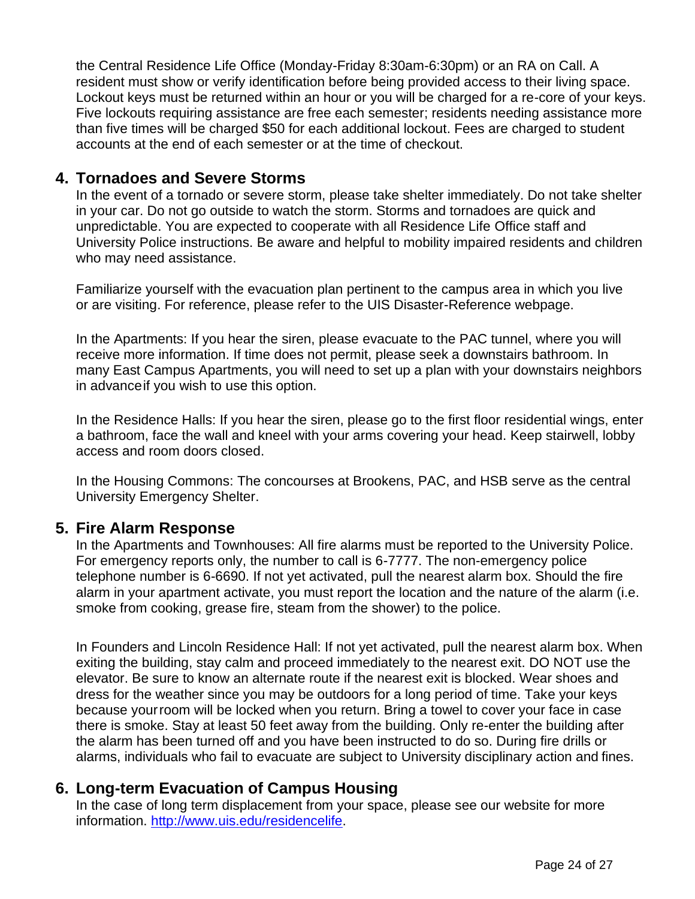the Central Residence Life Office (Monday-Friday 8:30am-6:30pm) or an RA on Call. A resident must show or verify identification before being provided access to their living space. Lockout keys must be returned within an hour or you will be charged for a re-core of your keys. Five lockouts requiring assistance are free each semester; residents needing assistance more than five times will be charged \$50 for each additional lockout. Fees are charged to student accounts at the end of each semester or at the time of checkout.

#### <span id="page-23-0"></span>**4. Tornadoes and Severe Storms**

In the event of a tornado or severe storm, please take shelter immediately. Do not take shelter in your car. Do not go outside to watch the storm. Storms and tornadoes are quick and unpredictable. You are expected to cooperate with all Residence Life Office staff and University Police instructions. Be aware and helpful to mobility impaired residents and children who may need assistance.

Familiarize yourself with the evacuation plan pertinent to the campus area in which you live or are visiting. For reference, please refer to the UIS Disaster-Reference webpage.

In the Apartments: If you hear the siren, please evacuate to the PAC tunnel, where you will receive more information. If time does not permit, please seek a downstairs bathroom. In many East Campus Apartments, you will need to set up a plan with your downstairs neighbors in advanceif you wish to use this option.

In the Residence Halls: If you hear the siren, please go to the first floor residential wings, enter a bathroom, face the wall and kneel with your arms covering your head. Keep stairwell, lobby access and room doors closed.

In the Housing Commons: The concourses at Brookens, PAC, and HSB serve as the central University Emergency Shelter.

#### <span id="page-23-1"></span>**5. Fire Alarm Response**

In the Apartments and Townhouses: All fire alarms must be reported to the University Police. For emergency reports only, the number to call is 6-7777. The non-emergency police telephone number is 6-6690. If not yet activated, pull the nearest alarm box. Should the fire alarm in your apartment activate, you must report the location and the nature of the alarm (i.e. smoke from cooking, grease fire, steam from the shower) to the police.

In Founders and Lincoln Residence Hall: If not yet activated, pull the nearest alarm box. When exiting the building, stay calm and proceed immediately to the nearest exit. DO NOT use the elevator. Be sure to know an alternate route if the nearest exit is blocked. Wear shoes and dress for the weather since you may be outdoors for a long period of time. Take your keys because yourroom will be locked when you return. Bring a towel to cover your face in case there is smoke. Stay at least 50 feet away from the building. Only re-enter the building after the alarm has been turned off and you have been instructed to do so. During fire drills or alarms, individuals who fail to evacuate are subject to University disciplinary action and fines.

## <span id="page-23-2"></span>**6. Long-term Evacuation of Campus Housing**

In the case of long term displacement from your space, please see our website for more information. [http://www.uis.edu/residencelife.](http://www.uis.edu/residencelife)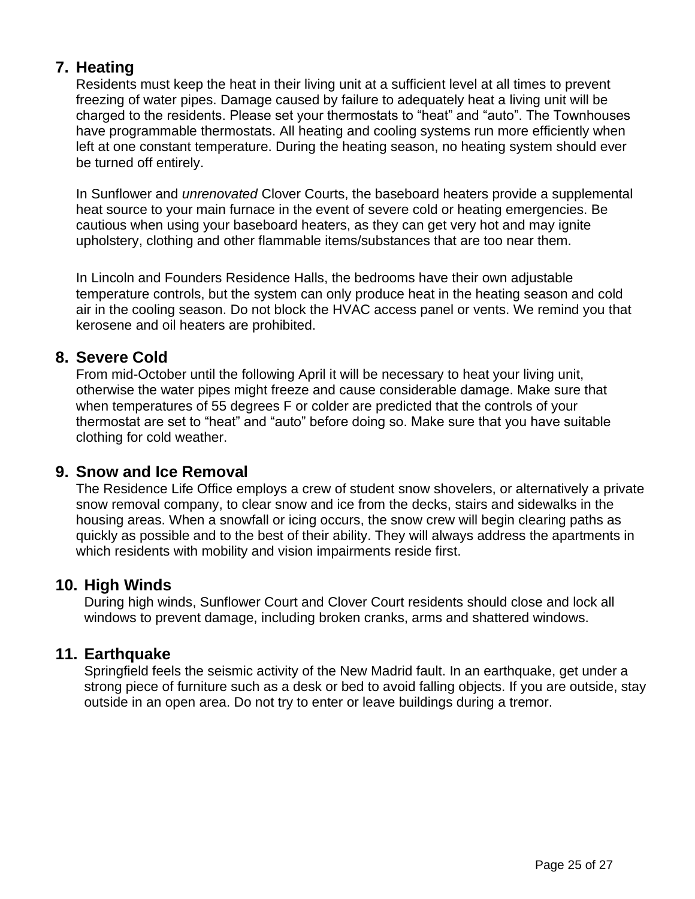## <span id="page-24-0"></span>**7. Heating**

Residents must keep the heat in their living unit at a sufficient level at all times to prevent freezing of water pipes. Damage caused by failure to adequately heat a living unit will be charged to the residents. Please set your thermostats to "heat" and "auto". The Townhouses have programmable thermostats. All heating and cooling systems run more efficiently when left at one constant temperature. During the heating season, no heating system should ever be turned off entirely.

In Sunflower and *unrenovated* Clover Courts, the baseboard heaters provide a supplemental heat source to your main furnace in the event of severe cold or heating emergencies. Be cautious when using your baseboard heaters, as they can get very hot and may ignite upholstery, clothing and other flammable items/substances that are too near them.

In Lincoln and Founders Residence Halls, the bedrooms have their own adjustable temperature controls, but the system can only produce heat in the heating season and cold air in the cooling season. Do not block the HVAC access panel or vents. We remind you that kerosene and oil heaters are prohibited.

## <span id="page-24-1"></span>**8. Severe Cold**

From mid-October until the following April it will be necessary to heat your living unit, otherwise the water pipes might freeze and cause considerable damage. Make sure that when temperatures of 55 degrees F or colder are predicted that the controls of your thermostat are set to "heat" and "auto" before doing so. Make sure that you have suitable clothing for cold weather.

## <span id="page-24-2"></span>**9. Snow and Ice Removal**

The Residence Life Office employs a crew of student snow shovelers, or alternatively a private snow removal company, to clear snow and ice from the decks, stairs and sidewalks in the housing areas. When a snowfall or icing occurs, the snow crew will begin clearing paths as quickly as possible and to the best of their ability. They will always address the apartments in which residents with mobility and vision impairments reside first.

## <span id="page-24-3"></span>**10. High Winds**

During high winds, Sunflower Court and Clover Court residents should close and lock all windows to prevent damage, including broken cranks, arms and shattered windows.

## <span id="page-24-4"></span>**11. Earthquake**

Springfield feels the seismic activity of the New Madrid fault. In an earthquake, get under a strong piece of furniture such as a desk or bed to avoid falling objects. If you are outside, stay outside in an open area. Do not try to enter or leave buildings during a tremor.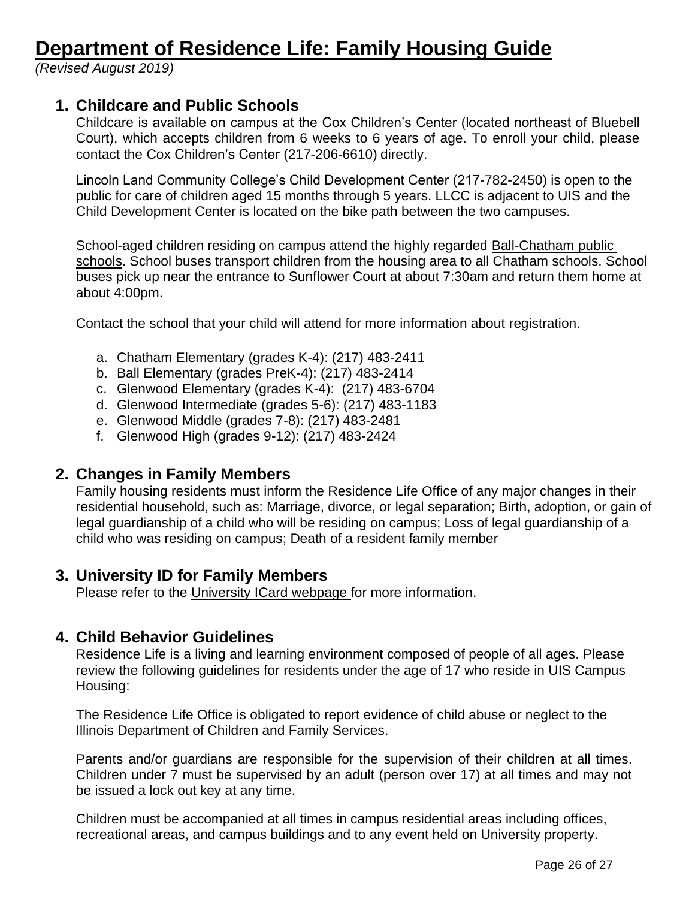## <span id="page-25-0"></span>**Department of Residence Life: Family Housing Guide**

*(Revised August 2019)*

#### <span id="page-25-1"></span>**1. Childcare and Public Schools**

Childcare is available on campus at the Cox Children's Center (located northeast of Bluebell Court), which accepts children from 6 weeks to 6 years of age. To enroll your child, please contact the [Cox](http://www.uis.edu/childcarecenter/) [Children's Center \(](http://www.uis.edu/childcarecenter/)217-206-6610) directly.

Lincoln Land Community College's Child Development Center (217-782-2450) is open to the public for care of children aged 15 months through 5 years. LLCC is adjacent to UIS and the Child Development Center is located on the bike path between the two campuses.

School-aged children residing on campus attend the highly regarded [Ball-Chatham public](http://www.chathamschools.org/)  [schools.](http://www.chathamschools.org/) School buses transport children from the housing area to all Chatham schools. School buses pick up near the entrance to Sunflower Court at about 7:30am and return them home at about 4:00pm.

Contact the school that your child will attend for more information about registration.

- a. Chatham Elementary (grades K-4): (217) 483-2411
- b. Ball Elementary (grades PreK-4): (217) 483-2414
- c. Glenwood Elementary (grades K-4): (217) 483-6704
- d. Glenwood Intermediate (grades 5-6): (217) 483-1183
- e. Glenwood Middle (grades 7-8): (217) 483-2481
- f. Glenwood High (grades 9-12): (217) 483-2424

#### <span id="page-25-2"></span>**2. Changes in Family Members**

Family housing residents must inform the Residence Life Office of any major changes in their residential household, such as: Marriage, divorce, or legal separation; Birth, adoption, or gain of legal guardianship of a child who will be residing on campus; Loss of legal guardianship of a child who was residing on campus; Death of a resident family member

#### <span id="page-25-3"></span>**3. University ID for Family Members**

Please refer to the [University ICard webpage f](http://www.icardnet.uillinois.edu/appPublicWebsite/)or more information.

#### <span id="page-25-4"></span>**4. Child Behavior Guidelines**

Residence Life is a living and learning environment composed of people of all ages. Please review the following guidelines for residents under the age of 17 who reside in UIS Campus Housing:

The Residence Life Office is obligated to report evidence of child abuse or neglect to the Illinois Department of Children and Family Services.

Parents and/or guardians are responsible for the supervision of their children at all times. Children under 7 must be supervised by an adult (person over 17) at all times and may not be issued a lock out key at any time.

Children must be accompanied at all times in campus residential areas including offices, recreational areas, and campus buildings and to any event held on University property.